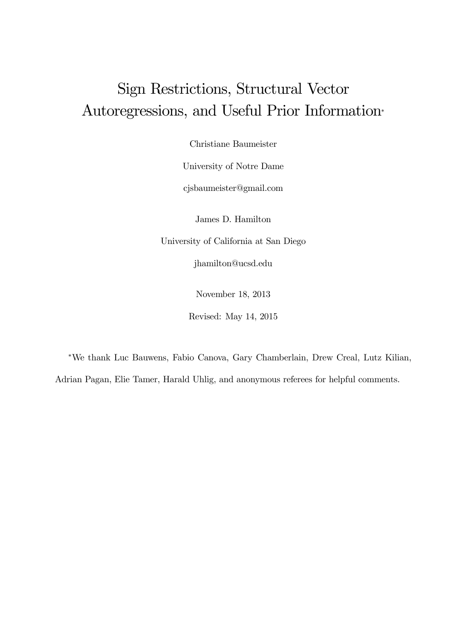# Sign Restrictions, Structural Vector Autoregressions, and Useful Prior Information<sup>∗</sup>

Christiane Baumeister

University of Notre Dame

cjsbaumeister@gmail.com

James D. Hamilton

University of California at San Diego

jhamilton@ucsd.edu

November 18, 2013

Revised: May 14, 2015

<sup>∗</sup>We thank Luc Bauwens, Fabio Canova, Gary Chamberlain, Drew Creal, Lutz Kilian, Adrian Pagan, Elie Tamer, Harald Uhlig, and anonymous referees for helpful comments.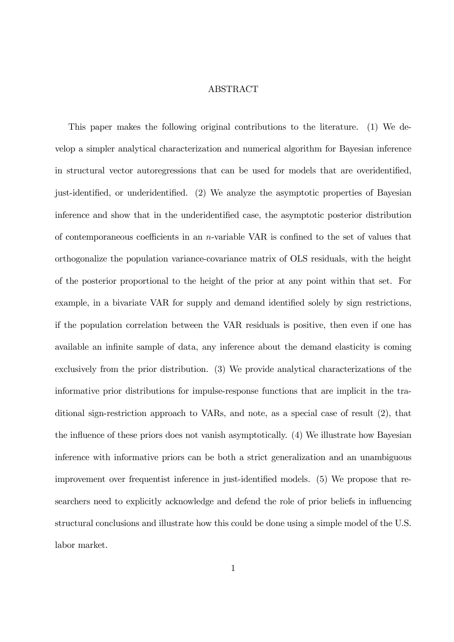#### ABSTRACT

This paper makes the following original contributions to the literature. (1) We develop a simpler analytical characterization and numerical algorithm for Bayesian inference in structural vector autoregressions that can be used for models that are overidentified, just-identified, or underidentified. (2) We analyze the asymptotic properties of Bayesian inference and show that in the underidentified case, the asymptotic posterior distribution of contemporaneous coefficients in an *n*-variable VAR is confined to the set of values that orthogonalize the population variance-covariance matrix of OLS residuals, with the height of the posterior proportional to the height of the prior at any point within that set. For example, in a bivariate VAR for supply and demand identified solely by sign restrictions, if the population correlation between the VAR residuals is positive, then even if one has available an infinite sample of data, any inference about the demand elasticity is coming exclusively from the prior distribution. (3) We provide analytical characterizations of the informative prior distributions for impulse-response functions that are implicit in the traditional sign-restriction approach to VARs, and note, as a special case of result (2), that the influence of these priors does not vanish asymptotically. (4) We illustrate how Bayesian inference with informative priors can be both a strict generalization and an unambiguous improvement over frequentist inference in just-identified models. (5) We propose that researchers need to explicitly acknowledge and defend the role of prior beliefs in influencing structural conclusions and illustrate how this could be done using a simple model of the U.S. labor market.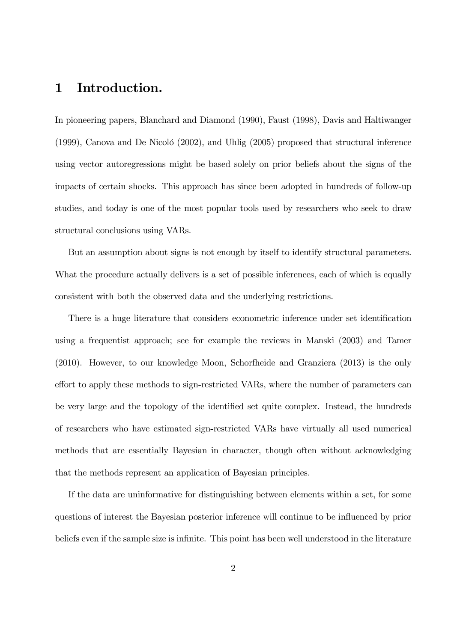### 1 Introduction.

In pioneering papers, Blanchard and Diamond (1990), Faust (1998), Davis and Haltiwanger (1999), Canova and De Nicoló (2002), and Uhlig (2005) proposed that structural inference using vector autoregressions might be based solely on prior beliefs about the signs of the impacts of certain shocks. This approach has since been adopted in hundreds of follow-up studies, and today is one of the most popular tools used by researchers who seek to draw structural conclusions using VARs.

But an assumption about signs is not enough by itself to identify structural parameters. What the procedure actually delivers is a set of possible inferences, each of which is equally consistent with both the observed data and the underlying restrictions.

There is a huge literature that considers econometric inference under set identification using a frequentist approach; see for example the reviews in Manski (2003) and Tamer (2010). However, to our knowledge Moon, Schorfheide and Granziera (2013) is the only effort to apply these methods to sign-restricted VARs, where the number of parameters can be very large and the topology of the identified set quite complex. Instead, the hundreds of researchers who have estimated sign-restricted VARs have virtually all used numerical methods that are essentially Bayesian in character, though often without acknowledging that the methods represent an application of Bayesian principles.

If the data are uninformative for distinguishing between elements within a set, for some questions of interest the Bayesian posterior inference will continue to be influenced by prior beliefs even if the sample size is infinite. This point has been well understood in the literature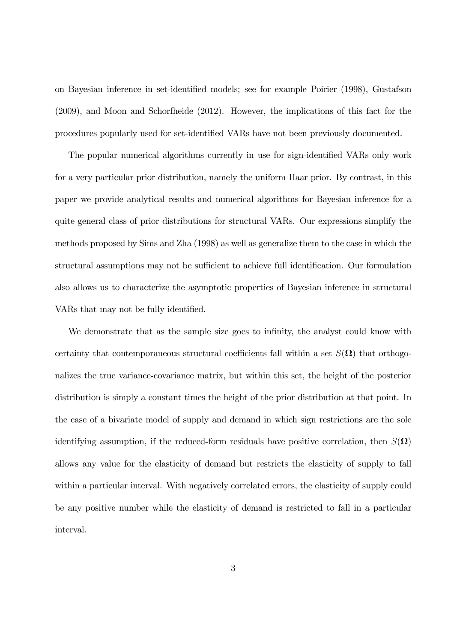on Bayesian inference in set-identified models; see for example Poirier (1998), Gustafson (2009), and Moon and Schorfheide (2012). However, the implications of this fact for the procedures popularly used for set-identified VARs have not been previously documented.

The popular numerical algorithms currently in use for sign-identified VARs only work for a very particular prior distribution, namely the uniform Haar prior. By contrast, in this paper we provide analytical results and numerical algorithms for Bayesian inference for a quite general class of prior distributions for structural VARs. Our expressions simplify the methods proposed by Sims and Zha (1998) as well as generalize them to the case in which the structural assumptions may not be sufficient to achieve full identification. Our formulation also allows us to characterize the asymptotic properties of Bayesian inference in structural VARs that may not be fully identified.

We demonstrate that as the sample size goes to infinity, the analyst could know with certainty that contemporaneous structural coefficients fall within a set  $S(\Omega)$  that orthogonalizes the true variance-covariance matrix, but within this set, the height of the posterior distribution is simply a constant times the height of the prior distribution at that point. In the case of a bivariate model of supply and demand in which sign restrictions are the sole identifying assumption, if the reduced-form residuals have positive correlation, then  $S(\Omega)$ allows any value for the elasticity of demand but restricts the elasticity of supply to fall within a particular interval. With negatively correlated errors, the elasticity of supply could be any positive number while the elasticity of demand is restricted to fall in a particular interval.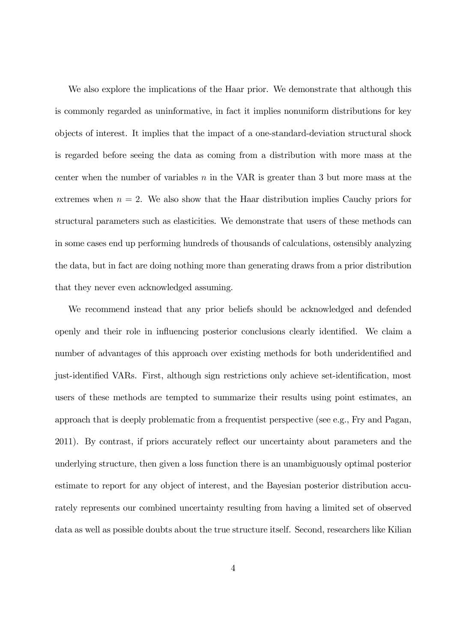We also explore the implications of the Haar prior. We demonstrate that although this is commonly regarded as uninformative, in fact it implies nonuniform distributions for key objects of interest. It implies that the impact of a one-standard-deviation structural shock is regarded before seeing the data as coming from a distribution with more mass at the center when the number of variables  $n$  in the VAR is greater than 3 but more mass at the extremes when  $n = 2$ . We also show that the Haar distribution implies Cauchy priors for structural parameters such as elasticities. We demonstrate that users of these methods can in some cases end up performing hundreds of thousands of calculations, ostensibly analyzing the data, but in fact are doing nothing more than generating draws from a prior distribution that they never even acknowledged assuming.

We recommend instead that any prior beliefs should be acknowledged and defended openly and their role in influencing posterior conclusions clearly identified. We claim a number of advantages of this approach over existing methods for both underidentified and just-identified VARs. First, although sign restrictions only achieve set-identification, most users of these methods are tempted to summarize their results using point estimates, an approach that is deeply problematic from a frequentist perspective (see e.g., Fry and Pagan, 2011). By contrast, if priors accurately reflect our uncertainty about parameters and the underlying structure, then given a loss function there is an unambiguously optimal posterior estimate to report for any object of interest, and the Bayesian posterior distribution accurately represents our combined uncertainty resulting from having a limited set of observed data as well as possible doubts about the true structure itself. Second, researchers like Kilian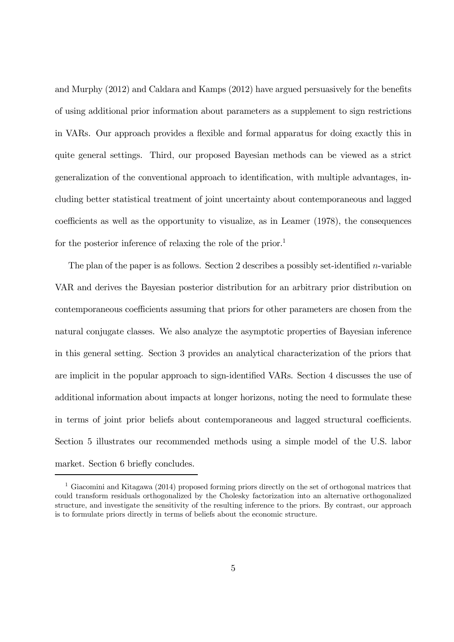and Murphy (2012) and Caldara and Kamps (2012) have argued persuasively for the benefits of using additional prior information about parameters as a supplement to sign restrictions in VARs. Our approach provides a flexible and formal apparatus for doing exactly this in quite general settings. Third, our proposed Bayesian methods can be viewed as a strict generalization of the conventional approach to identification, with multiple advantages, including better statistical treatment of joint uncertainty about contemporaneous and lagged coefficients as well as the opportunity to visualize, as in Leamer (1978), the consequences for the posterior inference of relaxing the role of the prior.<sup>1</sup>

The plan of the paper is as follows. Section 2 describes a possibly set-identified *n*-variable VAR and derives the Bayesian posterior distribution for an arbitrary prior distribution on contemporaneous coefficients assuming that priors for other parameters are chosen from the natural conjugate classes. We also analyze the asymptotic properties of Bayesian inference in this general setting. Section 3 provides an analytical characterization of the priors that are implicit in the popular approach to sign-identified VARs. Section 4 discusses the use of additional information about impacts at longer horizons, noting the need to formulate these in terms of joint prior beliefs about contemporaneous and lagged structural coefficients. Section 5 illustrates our recommended methods using a simple model of the U.S. labor market. Section 6 briefly concludes.

<sup>&</sup>lt;sup>1</sup> Giacomini and Kitagawa (2014) proposed forming priors directly on the set of orthogonal matrices that could transform residuals orthogonalized by the Cholesky factorization into an alternative orthogonalized structure, and investigate the sensitivity of the resulting inference to the priors. By contrast, our approach is to formulate priors directly in terms of beliefs about the economic structure.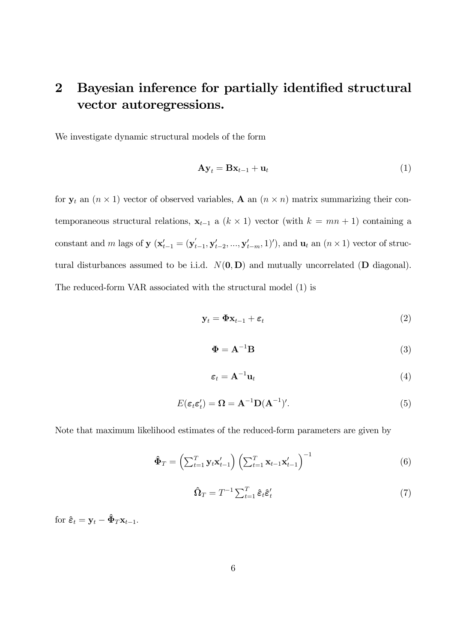## 2 Bayesian inference for partially identified structural vector autoregressions.

We investigate dynamic structural models of the form

$$
\mathbf{A}\mathbf{y}_t = \mathbf{B}\mathbf{x}_{t-1} + \mathbf{u}_t \tag{1}
$$

for  $y_t$  an  $(n \times 1)$  vector of observed variables, **A** an  $(n \times n)$  matrix summarizing their contemporaneous structural relations,  $\mathbf{x}_{t-1}$  a  $(k \times 1)$  vector (with  $k = mn + 1$ ) containing a constant and m lags of **y**  $(\mathbf{x}'_{t-1} = (\mathbf{y}'_t))$  $(t_{t-1}, \mathbf{y}'_{t-2}, ..., \mathbf{y}'_{t-m}, 1)')$ , and  $\mathbf{u}_t$  an  $(n \times 1)$  vector of structural disturbances assumed to be i.i.d.  $N(0, D)$  and mutually uncorrelated (D diagonal). The reduced-form VAR associated with the structural model (1) is

$$
\mathbf{y}_t = \mathbf{\Phi} \mathbf{x}_{t-1} + \boldsymbol{\varepsilon}_t \tag{2}
$$

$$
\Phi = \mathbf{A}^{-1} \mathbf{B} \tag{3}
$$

$$
\boldsymbol{\varepsilon}_t = \mathbf{A}^{-1} \mathbf{u}_t \tag{4}
$$

$$
E(\varepsilon_t \varepsilon_t') = \mathbf{\Omega} = \mathbf{A}^{-1} \mathbf{D} (\mathbf{A}^{-1})'. \tag{5}
$$

Note that maximum likelihood estimates of the reduced-form parameters are given by

$$
\hat{\mathbf{\Phi}}_T = \left(\sum_{t=1}^T \mathbf{y}_t \mathbf{x}'_{t-1}\right) \left(\sum_{t=1}^T \mathbf{x}_{t-1} \mathbf{x}'_{t-1}\right)^{-1} \tag{6}
$$

$$
\hat{\Omega}_T = T^{-1} \sum_{t=1}^T \hat{\varepsilon}_t \hat{\varepsilon}'_t \tag{7}
$$

for  $\hat{\boldsymbol{\varepsilon}}_t = \mathbf{y}_t - \hat{\boldsymbol{\Phi}}_T \mathbf{x}_{t-1}$ .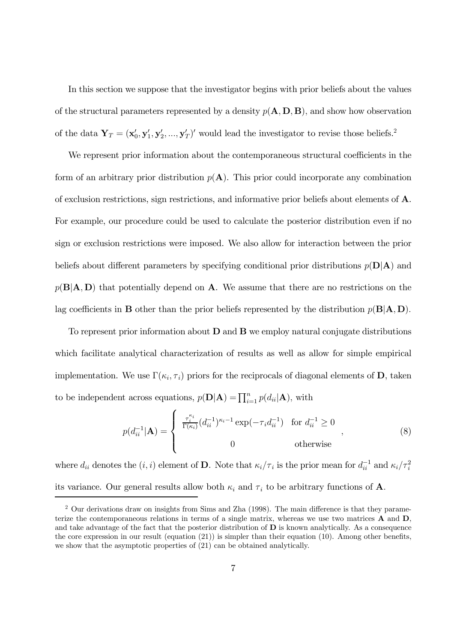In this section we suppose that the investigator begins with prior beliefs about the values of the structural parameters represented by a density  $p(\mathbf{A}, \mathbf{D}, \mathbf{B})$ , and show how observation of the data  $\mathbf{Y}_T = (\mathbf{x}'_0, \mathbf{y}'_1, \mathbf{y}'_2, ..., \mathbf{y}'_T)'$  would lead the investigator to revise those beliefs.<sup>2</sup>

We represent prior information about the contemporaneous structural coefficients in the form of an arbitrary prior distribution  $p(A)$ . This prior could incorporate any combination of exclusion restrictions, sign restrictions, and informative prior beliefs about elements of A. For example, our procedure could be used to calculate the posterior distribution even if no sign or exclusion restrictions were imposed. We also allow for interaction between the prior beliefs about different parameters by specifying conditional prior distributions  $p(D|A)$  and  $p(B|A, D)$  that potentially depend on A. We assume that there are no restrictions on the lag coefficients in **B** other than the prior beliefs represented by the distribution  $p(B|A, D)$ .

To represent prior information about  $D$  and  $B$  we employ natural conjugate distributions which facilitate analytical characterization of results as well as allow for simple empirical implementation. We use  $\Gamma(\kappa_i, \tau_i)$  priors for the reciprocals of diagonal elements of **D**, taken to be independent across equations,  $p(\mathbf{D}|\mathbf{A}) = \prod_{i=1}^{n} p(d_{ii}|\mathbf{A})$ , with

$$
p(d_{ii}^{-1}|\mathbf{A}) = \begin{cases} \frac{\tau_i^{\kappa_i}}{\Gamma(\kappa_i)} (d_{ii}^{-1})^{\kappa_i - 1} \exp(-\tau_i d_{ii}^{-1}) & \text{for } d_{ii}^{-1} \ge 0 \\ 0 & \text{otherwise} \end{cases},
$$
 (8)

where  $d_{ii}$  denotes the  $(i, i)$  element of **D**. Note that  $\kappa_i/\tau_i$  is the prior mean for  $d_{ii}^{-1}$  and  $\kappa_i/\tau_i^2$ its variance. Our general results allow both  $\kappa_i$  and  $\tau_i$  to be arbitrary functions of **A**.

<sup>&</sup>lt;sup>2</sup> Our derivations draw on insights from Sims and Zha (1998). The main difference is that they parameterize the contemporaneous relations in terms of a single matrix, whereas we use two matrices A and D, and take advantage of the fact that the posterior distribution of  **is known analytically. As a consequence** the core expression in our result (equation (21)) is simpler than their equation (10). Among other benefits, we show that the asymptotic properties of (21) can be obtained analytically.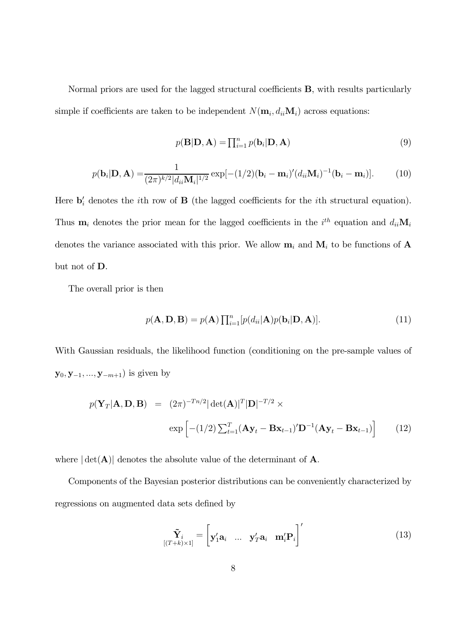Normal priors are used for the lagged structural coefficients B, with results particularly simple if coefficients are taken to be independent  $N(\mathbf{m}_i, d_{ii}\mathbf{M}_i)$  across equations:

$$
p(\mathbf{B}|\mathbf{D}, \mathbf{A}) = \prod_{i=1}^{n} p(\mathbf{b}_i|\mathbf{D}, \mathbf{A})
$$
\n(9)

$$
p(\mathbf{b}_i|\mathbf{D}, \mathbf{A}) = \frac{1}{(2\pi)^{k/2}|d_{ii}\mathbf{M}_i|^{1/2}} \exp[-(1/2)(\mathbf{b}_i - \mathbf{m}_i)'(d_{ii}\mathbf{M}_i)^{-1}(\mathbf{b}_i - \mathbf{m}_i)].
$$
 (10)

Here  $\mathbf{b}'_i$  denotes the *i*th row of **B** (the lagged coefficients for the *i*th structural equation). Thus  $\mathbf{m}_i$  denotes the prior mean for the lagged coefficients in the  $i^{th}$  equation and  $d_{ii}$  $\mathbf{M}_i$ denotes the variance associated with this prior. We allow  $\mathbf{m}_i$  and  $\mathbf{M}_i$  to be functions of  $\mathbf A$ but not of D.

The overall prior is then

$$
p(\mathbf{A}, \mathbf{D}, \mathbf{B}) = p(\mathbf{A}) \prod_{i=1}^{n} [p(d_{ii}|\mathbf{A})p(\mathbf{b}_i|\mathbf{D}, \mathbf{A})].
$$
\n(11)

With Gaussian residuals, the likelihood function (conditioning on the pre-sample values of  $y_0, y_{-1}, ..., y_{-m+1}$ ) is given by

$$
p(\mathbf{Y}_T|\mathbf{A}, \mathbf{D}, \mathbf{B}) = (2\pi)^{-Tn/2} |\det(\mathbf{A})|^T |\mathbf{D}|^{-T/2} \times
$$

$$
\exp\left[ -(1/2) \sum_{t=1}^T (\mathbf{A}\mathbf{y}_t - \mathbf{B}\mathbf{x}_{t-1})' \mathbf{D}^{-1} (\mathbf{A}\mathbf{y}_t - \mathbf{B}\mathbf{x}_{t-1}) \right]
$$
(12)

where  $|\det(A)|$  denotes the absolute value of the determinant of A.

Components of the Bayesian posterior distributions can be conveniently characterized by regressions on augmented data sets defined by

$$
\tilde{\mathbf{Y}}_i = \begin{bmatrix} \mathbf{y}_1' \mathbf{a}_i & \dots & \mathbf{y}_T' \mathbf{a}_i & \mathbf{m}_i' \mathbf{P}_i \end{bmatrix}' \tag{13}
$$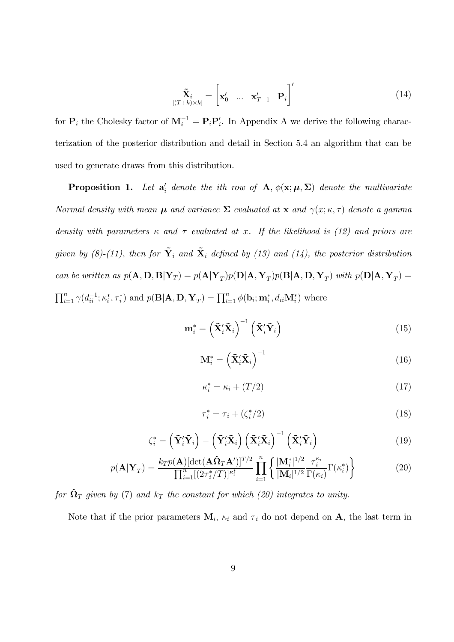$$
\tilde{\mathbf{X}}_i = \begin{bmatrix} \mathbf{x}'_0 & \dots & \mathbf{x}'_{T-1} & \mathbf{P}_i \end{bmatrix}' \tag{14}
$$

for  $P_i$  the Cholesky factor of  $M_i^{-1} = P_i P'_i$ . In Appendix A we derive the following characterization of the posterior distribution and detail in Section 5.4 an algorithm that can be used to generate draws from this distribution.

**Proposition 1.** Let  $a'_i$  denote the ith row of  $A$ ,  $\phi(\mathbf{x}; \boldsymbol{\mu}, \boldsymbol{\Sigma})$  denote the multivariate *Normal density with mean*  $\mu$  *and variance*  $\Sigma$  *evaluated at*  $x$  *and*  $\gamma(x; \kappa, \tau)$  *denote a gamma density with parameters* κ *and* τ *evaluated at* x*. If the likelihood is (12) and priors are given by (8)-(11), then for*  $\tilde{\mathbf{Y}}_i$  *and*  $\tilde{\mathbf{X}}_i$  *defined by (13) and (14), the posterior distribution can be written as*  $p(\mathbf{A}, \mathbf{D}, \mathbf{B} | \mathbf{Y}_T) = p(\mathbf{A} | \mathbf{Y}_T) p(\mathbf{D} | \mathbf{A}, \mathbf{Y}_T) p(\mathbf{B} | \mathbf{A}, \mathbf{D}, \mathbf{Y}_T)$  with  $p(\mathbf{D} | \mathbf{A}, \mathbf{Y}_T) =$  $\prod_{i=1}^n \gamma(d_{ii}^{-1}; \kappa_i^*, \tau_i^*)$  and  $p(\mathbf{B}|\mathbf{A}, \mathbf{D}, \mathbf{Y}_T) = \prod_{i=1}^n \phi(\mathbf{b}_i; \mathbf{m}_i^*, d_{ii} \mathbf{M}_i^*)$  where

$$
\mathbf{m}_{i}^{*} = \left(\tilde{\mathbf{X}}_{i}^{\prime} \tilde{\mathbf{X}}_{i}\right)^{-1} \left(\tilde{\mathbf{X}}_{i}^{\prime} \tilde{\mathbf{Y}}_{i}\right)
$$
(15)

$$
\mathbf{M}_{i}^* = \left(\tilde{\mathbf{X}}_i'\tilde{\mathbf{X}}_i\right)^{-1} \tag{16}
$$

$$
\kappa_i^* = \kappa_i + (T/2) \tag{17}
$$

$$
\tau_i^* = \tau_i + (\zeta_i^*/2) \tag{18}
$$

$$
\zeta_i^* = \left(\tilde{\mathbf{Y}}_i'\tilde{\mathbf{Y}}_i\right) - \left(\tilde{\mathbf{Y}}_i'\tilde{\mathbf{X}}_i\right) \left(\tilde{\mathbf{X}}_i'\tilde{\mathbf{X}}_i\right)^{-1} \left(\tilde{\mathbf{X}}_i'\tilde{\mathbf{Y}}_i\right)
$$
(19)

$$
p(\mathbf{A}|\mathbf{Y}_T) = \frac{k_T p(\mathbf{A}) \left[ \det(\mathbf{A}\hat{\mathbf{\Omega}}_T \mathbf{A}') \right]^{T/2}}{\prod_{i=1}^n \left[ \left( 2\tau_i^*/T \right) \right]^{\kappa_i^*}} \prod_{i=1}^n \left\{ \frac{|\mathbf{M}_i^*|^{1/2}}{|\mathbf{M}_i|^{1/2}} \frac{\tau_i^{\kappa_i}}{\Gamma(\kappa_i)} \Gamma(\kappa_i^*) \right\}
$$
(20)

*for*  $\hat{\Omega}_T$  *given by* (7) *and*  $k_T$  *the constant for which* (20) *integrates to unity.* 

Note that if the prior parameters  $M_i$ ,  $\kappa_i$  and  $\tau_i$  do not depend on **A**, the last term in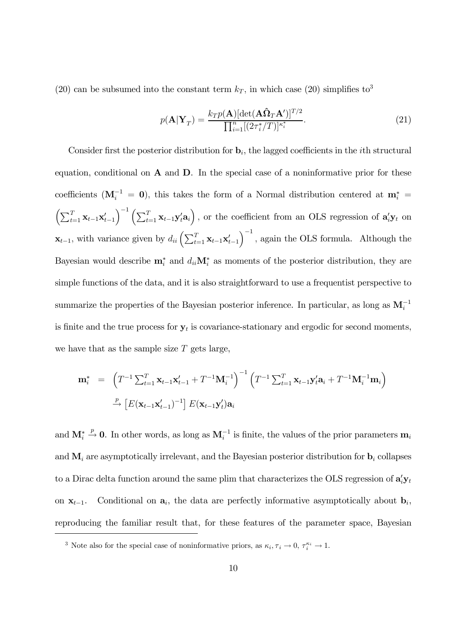(20) can be subsumed into the constant term  $k_T$ , in which case (20) simplifies to<sup>3</sup>

$$
p(\mathbf{A}|\mathbf{Y}_T) = \frac{k_T p(\mathbf{A}) [\det(\mathbf{A}\hat{\mathbf{\Omega}}_T \mathbf{A}')]^{T/2}}{\prod_{i=1}^n [(2\tau_i^*/T)]^{\kappa_i^*}}.
$$
\n(21)

Consider first the posterior distribution for  $\mathbf{b}_i$ , the lagged coefficients in the *i*th structural equation, conditional on  $A$  and  $D$ . In the special case of a noninformative prior for these coefficients  $(M_i^{-1} = 0)$ , this takes the form of a Normal distribution centered at  $m_i^* =$  $\left(\sum_{t=1}^T \mathbf{x}_{t-1} \mathbf{x}'_{t-1}\right)^{-1} \left(\sum_{t=1}^T \mathbf{x}_{t-1} \mathbf{y}'_t \mathbf{a}_i\right)$ , or the coefficient from an OLS regression of  $\mathbf{a}'_i \mathbf{y}_t$  on  $\mathbf{x}_{t-1}$ , with variance given by  $d_{ii} \left( \sum_{t=1}^{T} \mathbf{x}_{t-1} \mathbf{x}'_{t-1} \right)$  $\int^{-1}$ , again the OLS formula. Although the Bayesian would describe  $\mathbf{m}_i^*$  and  $d_{ii} \mathbf{M}_i^*$  as moments of the posterior distribution, they are simple functions of the data, and it is also straightforward to use a frequentist perspective to summarize the properties of the Bayesian posterior inference. In particular, as long as  $M_i^{-1}$ is finite and the true process for  $y_t$  is covariance-stationary and ergodic for second moments, we have that as the sample size  $T$  gets large,

$$
\mathbf{m}_{i}^{*} = \left( T^{-1} \sum_{t=1}^{T} \mathbf{x}_{t-1} \mathbf{x}_{t-1}^{\prime} + T^{-1} \mathbf{M}_{i}^{-1} \right)^{-1} \left( T^{-1} \sum_{t=1}^{T} \mathbf{x}_{t-1} \mathbf{y}_{t}^{\prime} \mathbf{a}_{i} + T^{-1} \mathbf{M}_{i}^{-1} \mathbf{m}_{i} \right)
$$
\n
$$
\xrightarrow{p} \left[ E(\mathbf{x}_{t-1} \mathbf{x}_{t-1}^{\prime})^{-1} \right] E(\mathbf{x}_{t-1} \mathbf{y}_{t}^{\prime}) \mathbf{a}_{i}
$$

and  $\mathbf{M}_i^* \stackrel{p}{\rightarrow} \mathbf{0}$ . In other words, as long as  $\mathbf{M}_i^{-1}$  is finite, the values of the prior parameters  $\mathbf{m}_i$ and  $M_i$  are asymptotically irrelevant, and the Bayesian posterior distribution for  $b_i$  collapses to a Dirac delta function around the same plim that characterizes the OLS regression of  $\mathbf{a}_i' \mathbf{y}_t$ on  $\mathbf{x}_{t-1}$ . Conditional on  $\mathbf{a}_i$ , the data are perfectly informative asymptotically about  $\mathbf{b}_i$ , reproducing the familiar result that, for these features of the parameter space, Bayesian

<sup>&</sup>lt;sup>3</sup> Note also for the special case of noninformative priors, as  $\kappa_i, \tau_i \to 0, \tau_i^{\kappa_i} \to 1$ .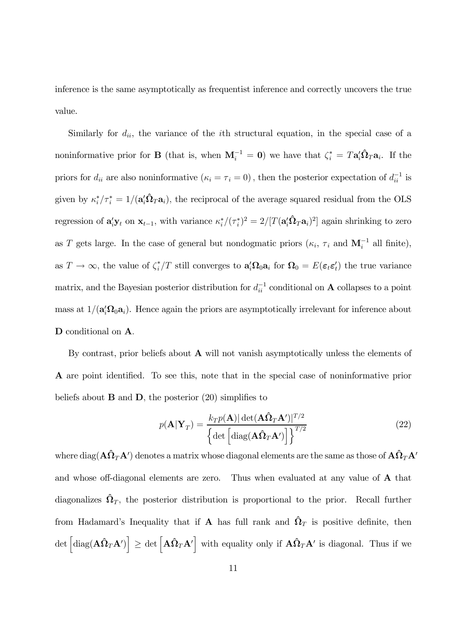inference is the same asymptotically as frequentist inference and correctly uncovers the true value.

Similarly for  $d_{ii}$ , the variance of the *i*th structural equation, in the special case of a noninformative prior for **B** (that is, when  $M_i^{-1} = 0$ ) we have that  $\zeta_i^* = T a_i' \hat{\Omega}_T a_i$ . If the priors for  $d_{ii}$  are also noninformative  $(\kappa_i = \tau_i = 0)$ , then the posterior expectation of  $d_{ii}^{-1}$  is given by  $\kappa_i^*/\tau_i^* = 1/(\mathbf{a}_i'\hat{\mathbf{\Omega}}_T\mathbf{a}_i)$ , the reciprocal of the average squared residual from the OLS regression of  $\mathbf{a}_i'\mathbf{y}_t$  on  $\mathbf{x}_{t-1}$ , with variance  $\kappa_i^*/(\tau_i^*)^2 = 2/[T(\mathbf{a}_i'\hat{\mathbf{\Omega}}_T\mathbf{a}_i)^2]$  again shrinking to zero as T gets large. In the case of general but nondogmatic priors  $(\kappa_i, \tau_i$  and  $\mathbf{M}_i^{-1}$  all finite), as  $T \to \infty$ , the value of  $\zeta_i^*/T$  still converges to  $\mathbf{a}_i' \Omega_0 \mathbf{a}_i$  for  $\Omega_0 = E(\epsilon_t \epsilon'_t)$  the true variance matrix, and the Bayesian posterior distribution for  $d_{ii}^{-1}$  conditional on **A** collapses to a point mass at  $1/(\mathbf{a}_i^{\prime} \Omega_0 \mathbf{a}_i)$ . Hence again the priors are asymptotically irrelevant for inference about D conditional on A.

By contrast, prior beliefs about  $A$  will not vanish asymptotically unless the elements of A are point identified. To see this, note that in the special case of noninformative prior beliefs about  $\bf{B}$  and  $\bf{D}$ , the posterior (20) simplifies to

$$
p(\mathbf{A}|\mathbf{Y}_T) = \frac{k_T p(\mathbf{A}) |\det(\mathbf{A}\hat{\mathbf{\Omega}}_T \mathbf{A}')|^{T/2}}{\left\{ \det \left[ \text{diag}(\mathbf{A}\hat{\mathbf{\Omega}}_T \mathbf{A}') \right] \right\}^{T/2}}
$$
(22)

where  $\rm{diag}(\bf{A}\bf{\hat{\Omega}}_T\bf{A}')$  denotes a matrix whose diagonal elements are the same as those of  $\bf{A}\bf{\hat{\Omega}}_T\bf{A}'$ and whose off-diagonal elements are zero. Thus when evaluated at any value of A that diagonalizes  $\hat{\Omega}_T$ , the posterior distribution is proportional to the prior. Recall further from Hadamard's Inequality that if A has full rank and  $\hat{\Omega}_T$  is positive definite, then  $\det \left[\text{diag}(\mathbf{A}\hat{\mathbf{\Omega}}_T\mathbf{A}')\right] \geq \det \left[\mathbf{A}\hat{\mathbf{\Omega}}_T\mathbf{A}'\right]$  with equality only if  $\mathbf{A}\hat{\mathbf{\Omega}}_T\mathbf{A}'$  is diagonal. Thus if we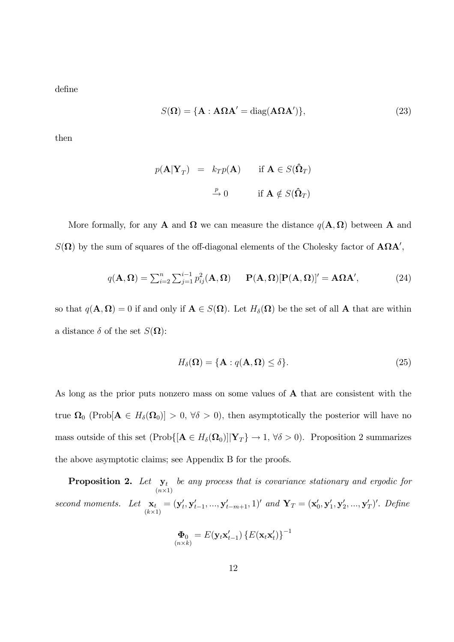define

$$
S(\Omega) = \{ \mathbf{A} : \mathbf{A}\Omega\mathbf{A}' = \text{diag}(\mathbf{A}\Omega\mathbf{A}') \},\tag{23}
$$

then

$$
p(\mathbf{A}|\mathbf{Y}_T) = k_T p(\mathbf{A}) \quad \text{if } \mathbf{A} \in S(\hat{\mathbf{\Omega}}_T)
$$

$$
\xrightarrow{P} 0 \quad \text{if } \mathbf{A} \notin S(\hat{\mathbf{\Omega}}_T)
$$

More formally, for any **A** and  $\Omega$  we can measure the distance  $q(\mathbf{A}, \Omega)$  between **A** and  $S(\mathbf{\Omega})$  by the sum of squares of the off-diagonal elements of the Cholesky factor of  $\mathbf{A}\Omega\mathbf{A}'$ ,

$$
q(\mathbf{A},\mathbf{\Omega})=\sum_{i=2}^n\sum_{j=1}^{i-1}p_{ij}^2(\mathbf{A},\mathbf{\Omega})\qquad\mathbf{P}(\mathbf{A},\mathbf{\Omega})[\mathbf{P}(\mathbf{A},\mathbf{\Omega})]'=\mathbf{A}\mathbf{\Omega}\mathbf{A}',\qquad(24)
$$

so that  $q(\mathbf{A}, \mathbf{\Omega}) = 0$  if and only if  $\mathbf{A} \in S(\mathbf{\Omega})$ . Let  $H_{\delta}(\mathbf{\Omega})$  be the set of all  $\mathbf{A}$  that are within a distance  $\delta$  of the set  $S(\Omega)$ :

$$
H_{\delta}(\Omega) = \{ \mathbf{A} : q(\mathbf{A}, \Omega) \le \delta \}. \tag{25}
$$

As long as the prior puts nonzero mass on some values of A that are consistent with the true  $\Omega_0$  (Prob[ $\mathbf{A} \in H_\delta(\Omega_0) > 0$ ,  $\forall \delta > 0$ ), then asymptotically the posterior will have no mass outside of this set  $(Prob([A \in H_{\delta}(\Omega_0)] | Y_T \} \to 1, \forall \delta > 0)$ . Proposition 2 summarizes the above asymptotic claims; see Appendix B for the proofs.

Proposition 2. Let  $y_t$  $(n\times1)$ *be any process that is covariance stationary and ergodic for second moments.* Let  $\mathbf{x}_t$  $(k\times1)$  $=(\mathbf{y}'_t, \mathbf{y}'_{t-1}, ..., \mathbf{y}'_{t-m+1}, 1)'$  and  $\mathbf{Y}_T = (\mathbf{x}'_0, \mathbf{y}'_1, \mathbf{y}'_2, ..., \mathbf{y}'_T)'$ . Define

$$
\mathbf{\Phi}_0 = E(\mathbf{y}_t \mathbf{x}'_{t-1}) \left\{ E(\mathbf{x}_t \mathbf{x}'_t) \right\}^{-1}
$$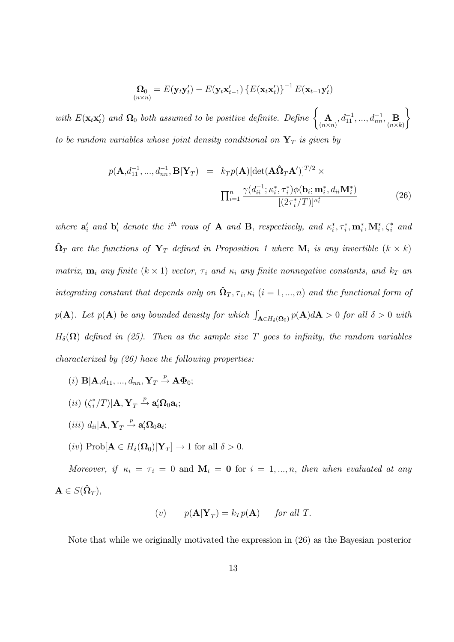$$
\mathbf{\Omega}_0 = E(\mathbf{y}_t \mathbf{y}_t') - E(\mathbf{y}_t \mathbf{x}_{t-1}') \left\{ E(\mathbf{x}_t \mathbf{x}_t') \right\}^{-1} E(\mathbf{x}_{t-1} \mathbf{y}_t')
$$

*with*  $E(\mathbf{x}_t \mathbf{x}'_t)$  and  $\Omega_0$  *both assumed to be positive definite. Define*  $\begin{cases} A \\ B \end{cases}$  $(n \times n)$  $,d_{11}^{-1},...,d_{nn}^{-1},\mathbf{B}_{(n\times k)}$  $\mathcal{L}$ *to be random variables whose joint density conditional on*  $Y_T$  *is given by* 

$$
p(\mathbf{A}, d_{11}^{-1}, ..., d_{nn}^{-1}, \mathbf{B}|\mathbf{Y}_T) = k_T p(\mathbf{A}) [\det(\mathbf{A}\hat{\mathbf{\Omega}}_T \mathbf{A}')]^{T/2} \times \n\prod_{i=1}^n \frac{\gamma(d_{ii}^{-1}; \kappa_i^*, \tau_i^*) \phi(\mathbf{b}_i; \mathbf{m}_i^*, d_{ii} \mathbf{M}_i^*)}{[(2\tau_i^*/T)]^{\kappa_i^*}} \n\tag{26}
$$

where  $\mathbf{a}'_i$  and  $\mathbf{b}'_i$  denote the i<sup>th</sup> rows of **A** and **B**, respectively, and  $\kappa^*_i, \tau^*_i, \mathbf{m}^*_i, \mathbf{M}^*_i, \zeta^*_i$  and  $\hat{\Omega}_T$  are the functions of  $Y_T$  defined in Proposition 1 where  $\mathbf{M}_i$  is any invertible  $(k \times k)$ *matrix,*  $\mathbf{m}_i$  *any finite* ( $k \times 1$ ) *vector,*  $\tau_i$  *and*  $\kappa_i$  *any finite nonnegative constants, and*  $k_T$  *an integrating constant that depends only on*  $\hat{\Omega}_T, \tau_i, \kappa_i$   $(i = 1, ..., n)$  *and the functional form of*  $p(\mathbf{A})$ *. Let*  $p(\mathbf{A})$  *be any bounded density for which*  $\int_{\mathbf{A}\in H_{\delta}(\mathbf{\Omega}_0)} p(\mathbf{A}) d\mathbf{A} > 0$  for all  $\delta > 0$  with  $H_\delta(\Omega)$  *defined in (25). Then as the sample size* T goes to *infinity*, the random variables *characterized by (26) have the following properties:*

- (i)  $\mathbf{B}|\mathbf{A},d_{11},...,d_{nn},\mathbf{Y}_T \stackrel{p}{\rightarrow} \mathbf{A}\Phi_0;$
- $(ii)$   $(\zeta_i^*/T)|\mathbf{A}, \mathbf{Y}_T \stackrel{p}{\rightarrow} \mathbf{a}_i' \Omega_0 \mathbf{a}_i;$
- $(iii) d_{ii}$ **A**,  $\mathbf{Y}_T \stackrel{p}{\rightarrow} \mathbf{a}_i' \Omega_0 \mathbf{a}_i;$
- $(iv) \text{ Prob}[\mathbf{A} \in H_{\delta}(\mathbf{\Omega}_0)|\mathbf{Y}_T] \to 1 \text{ for all } \delta > 0.$

*Moreover, if*  $\kappa_i = \tau_i = 0$  and  $\mathbf{M}_i = \mathbf{0}$  for  $i = 1, ..., n$ , then when evaluated at any  $\mathbf{A} \in S(\hat{\mathbf{\Omega}}_T),$ 

$$
(v) \t p(\mathbf{A}|\mathbf{Y}_T) = k_T p(\mathbf{A}) \t for all T.
$$

Note that while we originally motivated the expression in (26) as the Bayesian posterior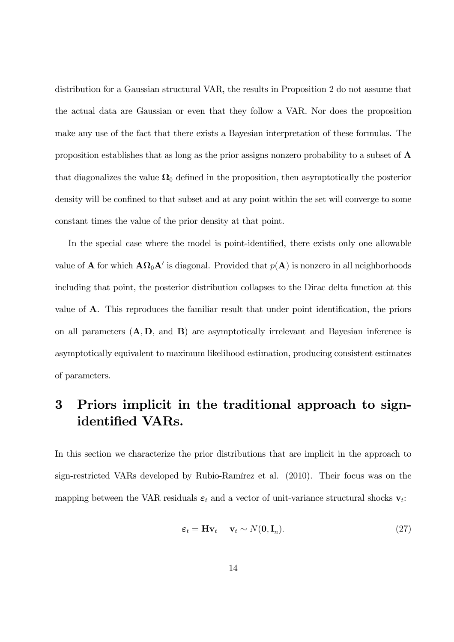distribution for a Gaussian structural VAR, the results in Proposition 2 do not assume that the actual data are Gaussian or even that they follow a VAR. Nor does the proposition make any use of the fact that there exists a Bayesian interpretation of these formulas. The proposition establishes that as long as the prior assigns nonzero probability to a subset of A that diagonalizes the value  $\Omega_0$  defined in the proposition, then asymptotically the posterior density will be confined to that subset and at any point within the set will converge to some constant times the value of the prior density at that point.

In the special case where the model is point-identified, there exists only one allowable value of **A** for which  $\mathbf{A}\Omega_0\mathbf{A}'$  is diagonal. Provided that  $p(\mathbf{A})$  is nonzero in all neighborhoods including that point, the posterior distribution collapses to the Dirac delta function at this value of A. This reproduces the familiar result that under point identification, the priors on all parameters  $(A, D, and B)$  are asymptotically irrelevant and Bayesian inference is asymptotically equivalent to maximum likelihood estimation, producing consistent estimates of parameters.

## 3 Priors implicit in the traditional approach to signidentified VARs.

In this section we characterize the prior distributions that are implicit in the approach to sign-restricted VARs developed by Rubio-Ramírez et al. (2010). Their focus was on the mapping between the VAR residuals  $\varepsilon_t$  and a vector of unit-variance structural shocks  $\mathbf{v}_t$ :

$$
\boldsymbol{\varepsilon}_t = \mathbf{H} \mathbf{v}_t \quad \mathbf{v}_t \sim N(\mathbf{0}, \mathbf{I}_n). \tag{27}
$$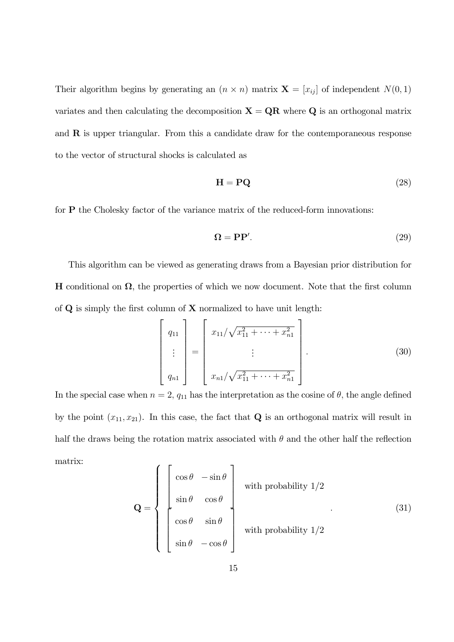Their algorithm begins by generating an  $(n \times n)$  matrix  $\mathbf{X} = [x_{ij}]$  of independent  $N(0, 1)$ variates and then calculating the decomposition  $X = QR$  where Q is an orthogonal matrix and  $R$  is upper triangular. From this a candidate draw for the contemporaneous response to the vector of structural shocks is calculated as

$$
\mathbf{H} = \mathbf{PQ} \tag{28}
$$

for P the Cholesky factor of the variance matrix of the reduced-form innovations:

$$
\mathbf{\Omega} = \mathbf{P}\mathbf{P}'.\tag{29}
$$

This algorithm can be viewed as generating draws from a Bayesian prior distribution for H conditional on  $\Omega$ , the properties of which we now document. Note that the first column of  ${\bf Q}$  is simply the first column of  ${\bf X}$  normalized to have unit length:

$$
\begin{bmatrix} q_{11} \\ \vdots \\ q_{n1} \end{bmatrix} = \begin{bmatrix} x_{11}/\sqrt{x_{11}^2 + \dots + x_{n1}^2} \\ \vdots \\ x_{n1}/\sqrt{x_{11}^2 + \dots + x_{n1}^2} \end{bmatrix} .
$$
 (30)

In the special case when  $n = 2$ ,  $q_{11}$  has the interpretation as the cosine of  $\theta$ , the angle defined by the point  $(x_{11}, x_{21})$ . In this case, the fact that **Q** is an orthogonal matrix will result in half the draws being the rotation matrix associated with  $\theta$  and the other half the reflection matrix:  $\lambda$  $\overline{\mathbf{1}}$ 

$$
\mathbf{Q} = \begin{cases} \begin{bmatrix} \cos \theta & -\sin \theta \\ \sin \theta & \cos \theta \end{bmatrix} & \text{with probability } 1/2 \\ \cos \theta & \sin \theta \\ \sin \theta & -\cos \theta \end{bmatrix} & \text{with probability } 1/2 \end{cases}
$$
(31)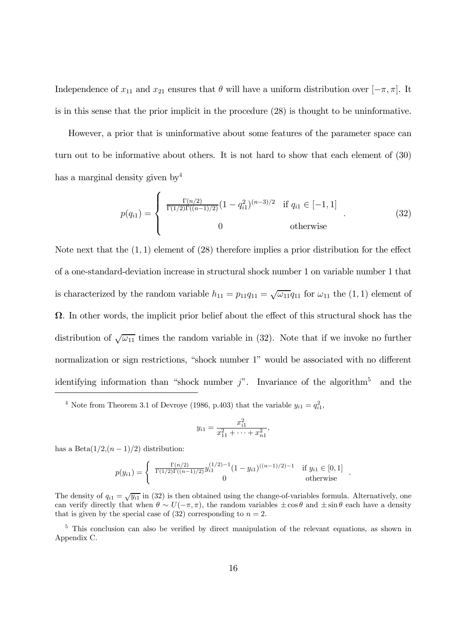Independence of  $x_{11}$  and  $x_{21}$  ensures that  $\theta$  will have a uniform distribution over  $[-\pi, \pi]$ . It is in this sense that the prior implicit in the procedure (28) is thought to be uninformative.

However, a prior that is uninformative about some features of the parameter space can turn out to be informative about others. It is not hard to show that each element of (30) has a marginal density given by<sup>4</sup>

$$
p(q_{i1}) = \begin{cases} \frac{\Gamma(n/2)}{\Gamma(1/2)\Gamma((n-1)/2)} (1 - q_{i1}^2)^{(n-3)/2} & \text{if } q_{i1} \in [-1, 1] \\ 0 & \text{otherwise} \end{cases}
$$
(32)

Note next that the  $(1, 1)$  element of  $(28)$  therefore implies a prior distribution for the effect of a one-standard-deviation increase in structural shock number 1 on variable number 1 that is characterized by the random variable  $h_{11} = p_{11}q_{11} = \sqrt{\omega_{11}}q_{11}$  for  $\omega_{11}$  the  $(1, 1)$  element of  $\Omega$ . In other words, the implicit prior belief about the effect of this structural shock has the distribution of  $\sqrt{\omega_{11}}$  times the random variable in (32). Note that if we invoke no further normalization or sign restrictions, "shock number 1" would be associated with no different identifying information than "shock number  $j$ ". Invariance of the algorithm<sup>5</sup> and the

$$
y_{i1} = \frac{x_{i1}^2}{x_{11}^2 + \dots + x_{n1}^2},
$$

has a Beta $(1/2,(n-1)/2)$  distribution:

$$
p(y_{i1}) = \begin{cases} \frac{\Gamma(n/2)}{\Gamma(1/2)\Gamma((n-1)/2)} y_{i1}^{(1/2)-1} (1-y_{i1})^{((n-1)/2)-1} & \text{if } y_{i1} \in [0,1] \\ 0 & \text{otherwise} \end{cases}
$$

.

The density of  $q_{i1} = \sqrt{y_{i1}}$  in (32) is then obtained using the change-of-variables formula. Alternatively, one can verify directly that when  $\theta \sim U(-\pi, \pi)$ , the random variables  $\pm \cos \theta$  and  $\pm \sin \theta$  each have a density that is given by the special case of  $(32)$  corresponding to  $n = 2$ .

<sup>5</sup> This conclusion can also be verified by direct manipulation of the relevant equations, as shown in Appendix C.

<sup>&</sup>lt;sup>4</sup> Note from Theorem 3.1 of Devroye (1986, p.403) that the variable  $y_{i1} = q_{i1}^2$ ,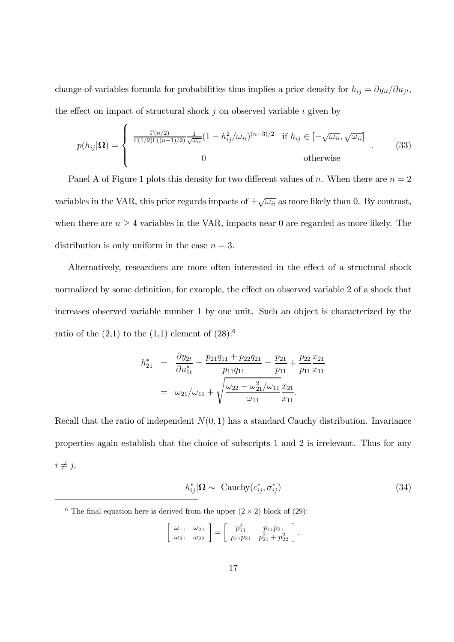change-of-variables formula for probabilities thus implies a prior density for  $h_{ij} = \partial y_{it}/\partial u_{jt}$ , the effect on impact of structural shock  $j$  on observed variable  $i$  given by

$$
p(h_{ij}|\Omega) = \begin{cases} \frac{\Gamma(n/2)}{\Gamma(1/2)\Gamma((n-1)/2)} \frac{1}{\sqrt{\omega_{ii}}} (1 - h_{ij}^2/\omega_{ii})^{(n-3)/2} & \text{if } h_{ij} \in [-\sqrt{\omega_{ii}}, \sqrt{\omega_{ii}}] \\ 0 & \text{otherwise} \end{cases}
$$
(33)

Panel A of Figure 1 plots this density for two different values of n. When there are  $n = 2$ variables in the VAR, this prior regards impacts of  $\pm\sqrt{\omega_{ii}}$  as more likely than 0. By contrast, when there are  $n \geq 4$  variables in the VAR, impacts near 0 are regarded as more likely. The distribution is only uniform in the case  $n = 3$ .

Alternatively, researchers are more often interested in the effect of a structural shock normalized by some definition, for example, the effect on observed variable 2 of a shock that increases observed variable number 1 by one unit. Such an object is characterized by the ratio of the  $(2,1)$  to the  $(1,1)$  element of  $(28)$ :<sup>6</sup>

$$
h_{21}^{*} = \frac{\partial y_{2t}}{\partial u_{1t}^{*}} = \frac{p_{21}q_{11} + p_{22}q_{21}}{p_{11}q_{11}} = \frac{p_{21}}{p_{11}} + \frac{p_{22}}{p_{11}} \frac{x_{21}}{x_{11}}
$$

$$
= \omega_{21}/\omega_{11} + \sqrt{\frac{\omega_{22} - \omega_{21}^{2}/\omega_{11}}{\omega_{11}} \frac{x_{21}}{x_{11}}}.
$$

Recall that the ratio of independent  $N(0, 1)$  has a standard Cauchy distribution. Invariance properties again establish that the choice of subscripts 1 and 2 is irrelevant. Thus for any  $i \neq j$ ,

$$
h_{ij}^*|\Omega \sim \text{Cauchy}(c_{ij}^*, \sigma_{ij}^*)
$$
\n(34)

$$
\left[\begin{array}{cc} \omega_{11} & \omega_{21} \\ \omega_{21} & \omega_{22} \end{array}\right] = \left[\begin{array}{cc} p_{11}^2 & p_{11}p_{21} \\ p_{11}p_{21} & p_{21}^2 + p_{22}^2 \end{array}\right].
$$

<sup>&</sup>lt;sup>6</sup> The final equation here is derived from the upper  $(2 \times 2)$  block of  $(29)$ :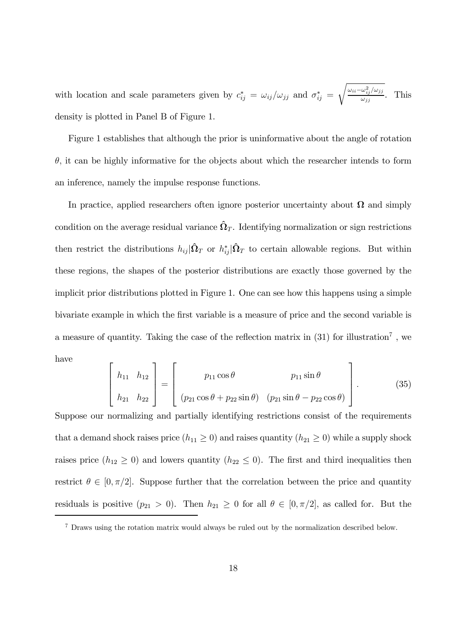with location and scale parameters given by  $c_{ij}^* = \omega_{ij}/\omega_{jj}$  and  $\sigma_{ij}^* =$  $\sqrt{\omega_{ii}-\omega_{ij}^2/\omega_{jj}}$  $\omega_{jj}$ . This density is plotted in Panel B of Figure 1.

Figure 1 establishes that although the prior is uninformative about the angle of rotation  $\theta$ , it can be highly informative for the objects about which the researcher intends to form an inference, namely the impulse response functions.

In practice, applied researchers often ignore posterior uncertainty about  $\Omega$  and simply condition on the average residual variance  $\hat{\Omega}_T$ . Identifying normalization or sign restrictions then restrict the distributions  $h_{ij}|\hat{\Omega}_T|$  or  $h_{ij}^*|\hat{\Omega}_T|$  to certain allowable regions. But within these regions, the shapes of the posterior distributions are exactly those governed by the implicit prior distributions plotted in Figure 1. One can see how this happens using a simple bivariate example in which the first variable is a measure of price and the second variable is a measure of quantity. Taking the case of the reflection matrix in  $(31)$  for illustration<sup>7</sup>, we have

$$
\begin{bmatrix} h_{11} & h_{12} \\ h_{21} & h_{22} \end{bmatrix} = \begin{bmatrix} p_{11} \cos \theta & p_{11} \sin \theta \\ (p_{21} \cos \theta + p_{22} \sin \theta) & (p_{21} \sin \theta - p_{22} \cos \theta) \end{bmatrix}.
$$
 (35)

Suppose our normalizing and partially identifying restrictions consist of the requirements that a demand shock raises price  $(h_{11} \geq 0)$  and raises quantity  $(h_{21} \geq 0)$  while a supply shock raises price  $(h_{12} \geq 0)$  and lowers quantity  $(h_{22} \leq 0)$ . The first and third inequalities then restrict  $\theta \in [0, \pi/2]$ . Suppose further that the correlation between the price and quantity residuals is positive  $(p_{21} > 0)$ . Then  $h_{21} \geq 0$  for all  $\theta \in [0, \pi/2]$ , as called for. But the

<sup>7</sup> Draws using the rotation matrix would always be ruled out by the normalization described below.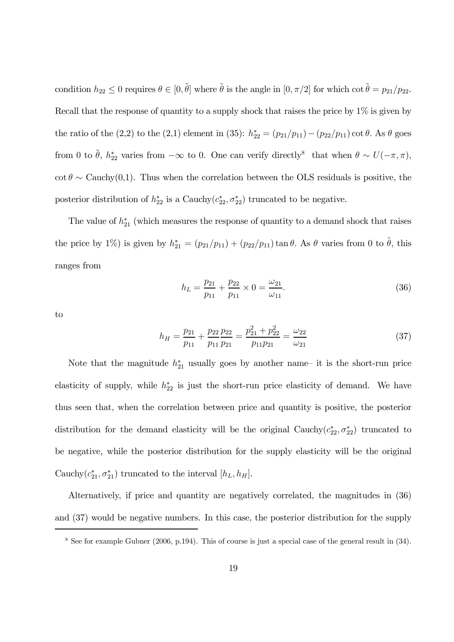condition  $h_{22} \leq 0$  requires  $\theta \in [0, \tilde{\theta}]$  where  $\tilde{\theta}$  is the angle in  $[0, \pi/2]$  for which cot  $\tilde{\theta} = p_{21}/p_{22}$ . Recall that the response of quantity to a supply shock that raises the price by 1% is given by the ratio of the (2,2) to the (2,1) element in (35):  $h_{22}^* = (p_{21}/p_{11}) - (p_{22}/p_{11}) \cot \theta$ . As  $\theta$  goes from 0 to  $\tilde{\theta}$ ,  $h_{22}^*$  varies from  $-\infty$  to 0. One can verify directly<sup>8</sup> that when  $\theta \sim U(-\pi, \pi)$ , cot  $\theta \sim$  Cauchy(0,1). Thus when the correlation between the OLS residuals is positive, the posterior distribution of  $h_{22}^*$  is a Cauchy $(c_{22}^*, \sigma_{22}^*)$  truncated to be negative.

The value of  $h_{21}^*$  (which measures the response of quantity to a demand shock that raises the price by 1%) is given by  $h_{21}^* = (p_{21}/p_{11}) + (p_{22}/p_{11}) \tan \theta$ . As  $\theta$  varies from 0 to  $\tilde{\theta}$ , this ranges from

$$
h_L = \frac{p_{21}}{p_{11}} + \frac{p_{22}}{p_{11}} \times 0 = \frac{\omega_{21}}{\omega_{11}}.
$$
\n(36)

to

$$
h_H = \frac{p_{21}}{p_{11}} + \frac{p_{22}}{p_{11}} \frac{p_{22}}{p_{21}} = \frac{p_{21}^2 + p_{22}^2}{p_{11}p_{21}} = \frac{\omega_{22}}{\omega_{21}} \tag{37}
$$

Note that the magnitude  $h_{21}^*$  usually goes by another name– it is the short-run price elasticity of supply, while  $h_{22}^*$  is just the short-run price elasticity of demand. We have thus seen that, when the correlation between price and quantity is positive, the posterior distribution for the demand elasticity will be the original Cauchy $(c_{22}^*, \sigma_{22}^*)$  truncated to be negative, while the posterior distribution for the supply elasticity will be the original Cauchy $(c_{21}^*, \sigma_{21}^*)$  truncated to the interval  $[h_L, h_H]$ .

Alternatively, if price and quantity are negatively correlated, the magnitudes in (36) and (37) would be negative numbers. In this case, the posterior distribution for the supply

<sup>8</sup> See for example Gubner (2006, p.194). This of course is just a special case of the general result in (34).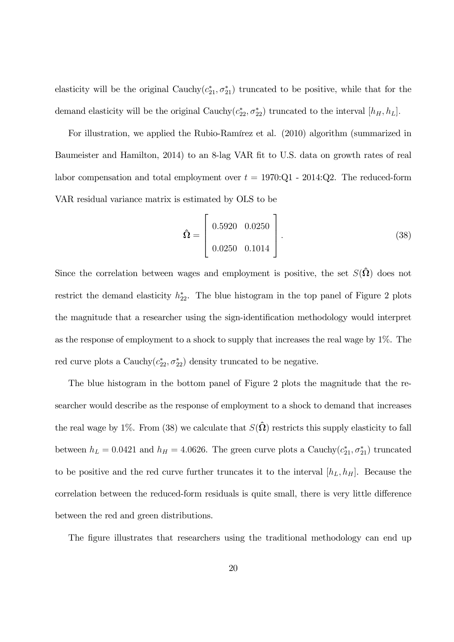elasticity will be the original Cauchy $(c_{21}^*, \sigma_{21}^*)$  truncated to be positive, while that for the demand elasticity will be the original Cauchy $(c_{22}^*, \sigma_{22}^*)$  truncated to the interval  $[h_H, h_L]$ .

For illustration, we applied the Rubio-Ramírez et al. (2010) algorithm (summarized in Baumeister and Hamilton, 2014) to an 8-lag VAR fit to U.S. data on growth rates of real labor compensation and total employment over  $t = 1970$ :Q1 - 2014:Q2. The reduced-form VAR residual variance matrix is estimated by OLS to be

$$
\hat{\Omega} = \begin{bmatrix} 0.5920 & 0.0250 \\ 0.0250 & 0.1014 \end{bmatrix}.
$$
\n(38)

Since the correlation between wages and employment is positive, the set  $S(\hat{\Omega})$  does not restrict the demand elasticity  $h_{22}^*$ . The blue histogram in the top panel of Figure 2 plots the magnitude that a researcher using the sign-identification methodology would interpret as the response of employment to a shock to supply that increases the real wage by 1%. The red curve plots a Cauchy $(c_{22}^*, \sigma_{22}^*)$  density truncated to be negative.

The blue histogram in the bottom panel of Figure 2 plots the magnitude that the researcher would describe as the response of employment to a shock to demand that increases the real wage by 1%. From (38) we calculate that  $S(\hat{\Omega})$  restricts this supply elasticity to fall between  $h_L = 0.0421$  and  $h_H = 4.0626$ . The green curve plots a Cauchy $(c_{21}^*, \sigma_{21}^*)$  truncated to be positive and the red curve further truncates it to the interval  $[h_L, h_H]$ . Because the correlation between the reduced-form residuals is quite small, there is very little difference between the red and green distributions.

The figure illustrates that researchers using the traditional methodology can end up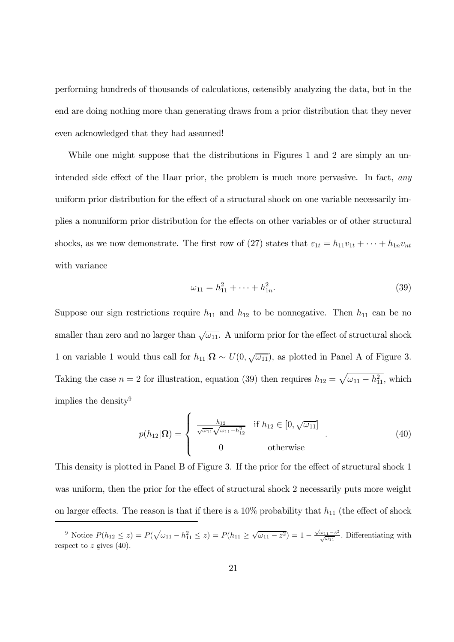performing hundreds of thousands of calculations, ostensibly analyzing the data, but in the end are doing nothing more than generating draws from a prior distribution that they never even acknowledged that they had assumed!

While one might suppose that the distributions in Figures 1 and 2 are simply an unintended side effect of the Haar prior, the problem is much more pervasive. In fact, *any* uniform prior distribution for the effect of a structural shock on one variable necessarily implies a nonuniform prior distribution for the effects on other variables or of other structural shocks, as we now demonstrate. The first row of (27) states that  $\varepsilon_{1t} = h_{11}v_{1t} + \cdots + h_{1n}v_{nt}$ with variance

$$
\omega_{11} = h_{11}^2 + \dots + h_{1n}^2. \tag{39}
$$

Suppose our sign restrictions require  $h_{11}$  and  $h_{12}$  to be nonnegative. Then  $h_{11}$  can be no smaller than zero and no larger than  $\sqrt{\omega_{11}}$ . A uniform prior for the effect of structural shock 1 on variable 1 would thus call for  $h_{11}|\Omega \sim U(0, \sqrt{\omega_{11}})$ , as plotted in Panel A of Figure 3. Taking the case  $n = 2$  for illustration, equation (39) then requires  $h_{12} = \sqrt{\omega_{11} - h_{11}^2}$ , which implies the density<sup>9</sup>

$$
p(h_{12}|\Omega) = \begin{cases} \frac{h_{12}}{\sqrt{\omega_{11}}\sqrt{\omega_{11} - h_{12}^2}} & \text{if } h_{12} \in [0, \sqrt{\omega_{11}}] \\ 0 & \text{otherwise} \end{cases}
$$
(40)

This density is plotted in Panel B of Figure 3. If the prior for the effect of structural shock 1 was uniform, then the prior for the effect of structural shock 2 necessarily puts more weight on larger effects. The reason is that if there is a  $10\%$  probability that  $h_{11}$  (the effect of shock

<sup>&</sup>lt;sup>9</sup> Notice  $P(h_{12} \leq z) = P(\sqrt{\omega_{11} - h_{11}^2} \leq z) = P(h_{11} \geq \sqrt{\omega_{11} - z^2}) = 1 - \frac{\sqrt{\omega_{11} - z^2}}{\sqrt{\omega_{11}}}$ . Differentiating with respect to  $z$  gives (40).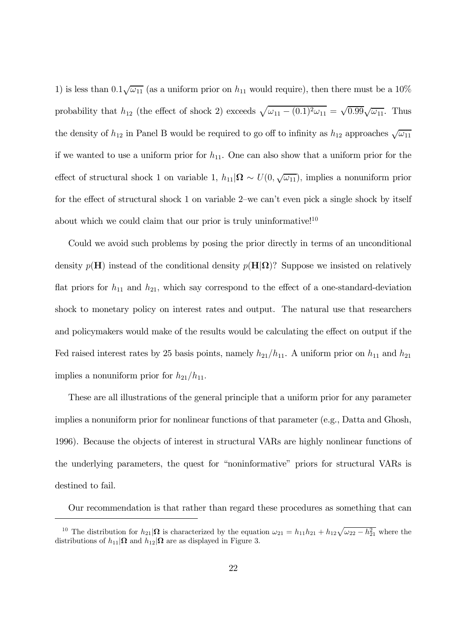1) is less than  $0.1\sqrt{\omega_{11}}$  (as a uniform prior on  $h_{11}$  would require), then there must be a 10% probability that  $h_{12}$  (the effect of shock 2) exceeds  $\sqrt{\omega_{11} - (0.1)^2 \omega_{11}} = \sqrt{0.99} \sqrt{\omega_{11}}$ . Thus the density of  $h_{12}$  in Panel B would be required to go off to infinity as  $h_{12}$  approaches  $\sqrt{\omega_{11}}$ if we wanted to use a uniform prior for  $h_{11}$ . One can also show that a uniform prior for the effect of structural shock 1 on variable 1,  $h_{11}|\Omega \sim U(0, \sqrt{\omega_{11}})$ , implies a nonuniform prior for the effect of structural shock 1 on variable 2—we can't even pick a single shock by itself about which we could claim that our prior is truly uninformative! $10$ 

Could we avoid such problems by posing the prior directly in terms of an unconditional density  $p(\mathbf{H})$  instead of the conditional density  $p(\mathbf{H}|\Omega)$ ? Suppose we insisted on relatively flat priors for  $h_{11}$  and  $h_{21}$ , which say correspond to the effect of a one-standard-deviation shock to monetary policy on interest rates and output. The natural use that researchers and policymakers would make of the results would be calculating the effect on output if the Fed raised interest rates by 25 basis points, namely  $h_{21}/h_{11}$ . A uniform prior on  $h_{11}$  and  $h_{21}$ implies a nonuniform prior for  $h_{21}/h_{11}$ .

These are all illustrations of the general principle that a uniform prior for any parameter implies a nonuniform prior for nonlinear functions of that parameter (e.g., Datta and Ghosh, 1996). Because the objects of interest in structural VARs are highly nonlinear functions of the underlying parameters, the quest for "noninformative" priors for structural VARs is destined to fail.

Our recommendation is that rather than regard these procedures as something that can

<sup>&</sup>lt;sup>10</sup> The distribution for  $h_{21}|\Omega$  is characterized by the equation  $\omega_{21} = h_{11}h_{21} + h_{12}\sqrt{\omega_{22} - h_{21}^2}$  where the distributions of  $h_{11}|\Omega$  and  $h_{12}|\Omega$  are as displayed in Figure 3.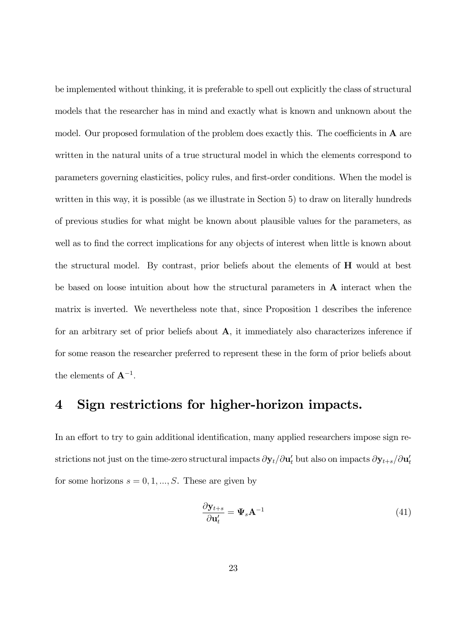be implemented without thinking, it is preferable to spell out explicitly the class of structural models that the researcher has in mind and exactly what is known and unknown about the model. Our proposed formulation of the problem does exactly this. The coefficients in  $\bf{A}$  are written in the natural units of a true structural model in which the elements correspond to parameters governing elasticities, policy rules, and first-order conditions. When the model is written in this way, it is possible (as we illustrate in Section 5) to draw on literally hundreds of previous studies for what might be known about plausible values for the parameters, as well as to find the correct implications for any objects of interest when little is known about the structural model. By contrast, prior beliefs about the elements of H would at best be based on loose intuition about how the structural parameters in A interact when the matrix is inverted. We nevertheless note that, since Proposition 1 describes the inference for an arbitrary set of prior beliefs about A, it immediately also characterizes inference if for some reason the researcher preferred to represent these in the form of prior beliefs about the elements of  $A^{-1}$ .

## 4 Sign restrictions for higher-horizon impacts.

In an effort to try to gain additional identification, many applied researchers impose sign restrictions not just on the time-zero structural impacts  $\partial \mathbf{y}_t/\partial \mathbf{u}'_t$  but also on impacts  $\partial \mathbf{y}_{t+s}/\partial \mathbf{u}'_t$ for some horizons  $s = 0, 1, ..., S$ . These are given by

$$
\frac{\partial \mathbf{y}_{t+s}}{\partial \mathbf{u}'_t} = \mathbf{\Psi}_s \mathbf{A}^{-1} \tag{41}
$$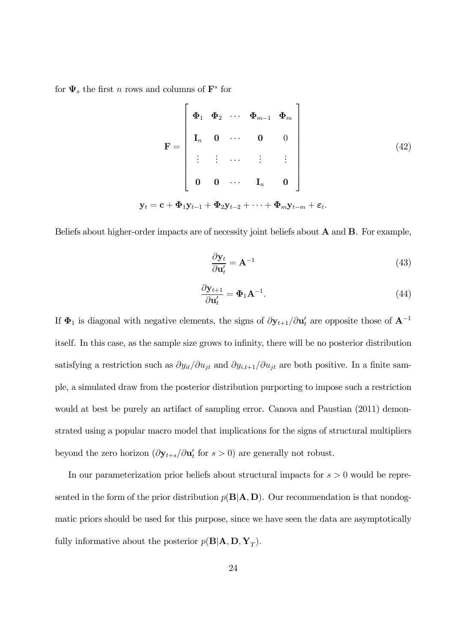for  $\Psi_s$  the first n rows and columns of  $\mathbf{F}^s$  for

$$
\mathbf{F} = \begin{bmatrix} \boldsymbol{\Phi}_1 & \boldsymbol{\Phi}_2 & \cdots & \boldsymbol{\Phi}_{m-1} & \boldsymbol{\Phi}_m \\ \mathbf{I}_n & \mathbf{0} & \cdots & \mathbf{0} & 0 \\ \vdots & \vdots & \cdots & \vdots & \vdots \\ \mathbf{0} & \mathbf{0} & \cdots & \mathbf{I}_n & \mathbf{0} \end{bmatrix}
$$
  

$$
\mathbf{y}_t = \mathbf{c} + \boldsymbol{\Phi}_1 \mathbf{y}_{t-1} + \boldsymbol{\Phi}_2 \mathbf{y}_{t-2} + \cdots + \boldsymbol{\Phi}_m \mathbf{y}_{t-m} + \varepsilon_t.
$$
 (42)

Beliefs about higher-order impacts are of necessity joint beliefs about A and B. For example,

$$
\frac{\partial \mathbf{y}_t}{\partial \mathbf{u}'_t} = \mathbf{A}^{-1} \tag{43}
$$

$$
\frac{\partial \mathbf{y}_{t+1}}{\partial \mathbf{u}'_t} = \mathbf{\Phi}_1 \mathbf{A}^{-1}.
$$
 (44)

If  $\Phi_1$  is diagonal with negative elements, the signs of  $\partial y_{t+1}/\partial u'_t$  are opposite those of  $A^{-1}$ itself. In this case, as the sample size grows to infinity, there will be no posterior distribution satisfying a restriction such as  $\partial y_{it}/\partial u_{jt}$  and  $\partial y_{i,t+1}/\partial u_{jt}$  are both positive. In a finite sample, a simulated draw from the posterior distribution purporting to impose such a restriction would at best be purely an artifact of sampling error. Canova and Paustian (2011) demonstrated using a popular macro model that implications for the signs of structural multipliers beyond the zero horizon  $(\partial \mathbf{y}_{t+s}/\partial \mathbf{u}'_t$  for  $s > 0)$  are generally not robust.

In our parameterization prior beliefs about structural impacts for  $s > 0$  would be represented in the form of the prior distribution  $p(\mathbf{B}|\mathbf{A}, \mathbf{D})$ . Our recommendation is that nondogmatic priors should be used for this purpose, since we have seen the data are asymptotically fully informative about the posterior  $p(\mathbf{B}|\mathbf{A}, \mathbf{D}, \mathbf{Y}_T)$ .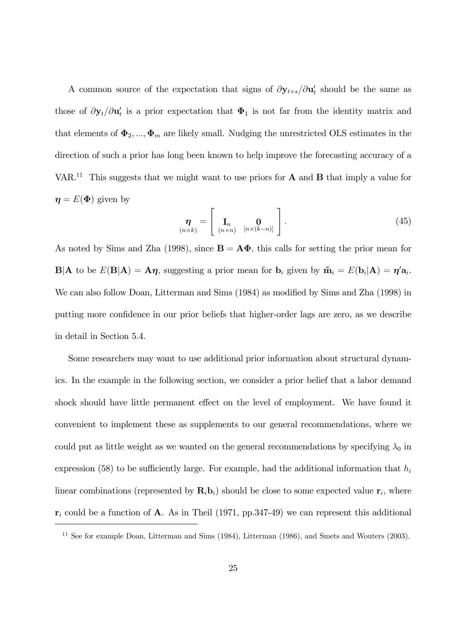A common source of the expectation that signs of  $\partial y_{t+s}/\partial u'_t$  should be the same as those of  $\partial \mathbf{y}_t / \partial \mathbf{u}'_t$  is a prior expectation that  $\Phi_1$  is not far from the identity matrix and that elements of  $\Phi_2, ..., \Phi_m$  are likely small. Nudging the unrestricted OLS estimates in the direction of such a prior has long been known to help improve the forecasting accuracy of a VAR.<sup>11</sup> This suggests that we might want to use priors for  $A$  and  $B$  that imply a value for  $\eta = E(\Phi)$  given by

$$
\eta_{(n\times k)} = \left[ \begin{array}{cc} \mathbf{I}_n & \mathbf{0} \\ (n\times n) & [n\times (k-n)] \end{array} \right]. \tag{45}
$$

As noted by Sims and Zha (1998), since  $\mathbf{B} = \mathbf{A}\Phi$ , this calls for setting the prior mean for  $\mathbf{B}|\mathbf{A}$  to be  $E(\mathbf{B}|\mathbf{A}) = \mathbf{A}\boldsymbol{\eta}$ , suggesting a prior mean for  $\mathbf{b}_i$  given by  $\tilde{\mathbf{m}}_i = E(\mathbf{b}_i|\mathbf{A}) = \boldsymbol{\eta}'\mathbf{a}_i$ . We can also follow Doan, Litterman and Sims (1984) as modified by Sims and Zha (1998) in putting more confidence in our prior beliefs that higher-order lags are zero, as we describe in detail in Section 5.4.

Some researchers may want to use additional prior information about structural dynamics. In the example in the following section, we consider a prior belief that a labor demand shock should have little permanent effect on the level of employment. We have found it convenient to implement these as supplements to our general recommendations, where we could put as little weight as we wanted on the general recommendations by specifying  $\lambda_0$  in expression (58) to be sufficiently large. For example, had the additional information that  $h_i$ linear combinations (represented by  $\mathbf{R}_i \mathbf{b}_i$ ) should be close to some expected value  $\mathbf{r}_i$ , where  $r_i$  could be a function of A. As in Theil (1971, pp.347-49) we can represent this additional

 $11$  See for example Doan, Litterman and Sims (1984), Litterman (1986), and Smets and Wouters (2003).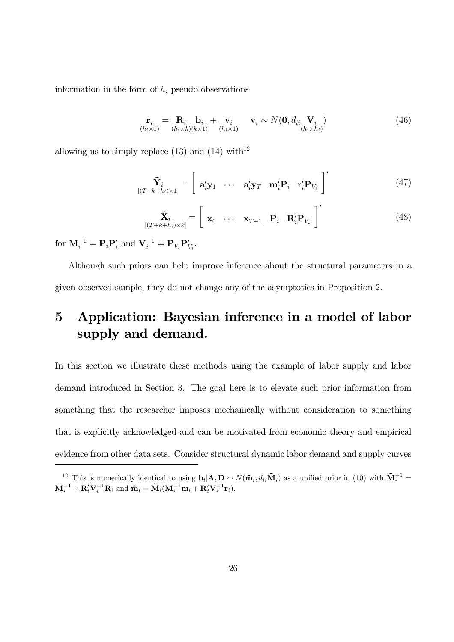information in the form of  $h_i$  pseudo observations

$$
\mathbf{r}_i = \mathbf{R}_i \mathbf{b}_i + \mathbf{v}_i \mathbf{v}_i \sim N(\mathbf{0}, d_{ii} \mathbf{V}_i) \qquad (46)
$$
  
\n
$$
\mathbf{r}_{(h_i \times 1)} = \mathbf{R}_i \mathbf{b}_i \times N(\mathbf{b}_i \times 1) \qquad (h_i \times 1) \qquad (h_i \times h_i)
$$

allowing us to simply replace  $(13)$  and  $(14)$  with<sup>12</sup>

$$
\tilde{\mathbf{Y}}_i = \begin{bmatrix} \mathbf{\tilde{x}}_i \\ \mathbf{a}_i' \mathbf{y}_1 & \cdots & \mathbf{a}_i' \mathbf{y}_T & \mathbf{m}_i' \mathbf{P}_i & \mathbf{r}_i' \mathbf{P}_{V_i} \end{bmatrix}' \tag{47}
$$

$$
\widetilde{\mathbf{X}}_i \left[ (T+k+h_i) \times k \right] = \begin{bmatrix} \mathbf{x}_0 & \cdots & \mathbf{x}_{T-1} & \mathbf{P}_i & \mathbf{R}'_i \mathbf{P}_{V_i} \end{bmatrix}' \tag{48}
$$

for  $\mathbf{M}_i^{-1} = \mathbf{P}_i \mathbf{P}'_i$  and  $\mathbf{V}_i^{-1} = \mathbf{P}_{V_i} \mathbf{P}'_{V_i}$ .

Although such priors can help improve inference about the structural parameters in a given observed sample, they do not change any of the asymptotics in Proposition 2.

## 5 Application: Bayesian inference in a model of labor supply and demand.

In this section we illustrate these methods using the example of labor supply and labor demand introduced in Section 3. The goal here is to elevate such prior information from something that the researcher imposes mechanically without consideration to something that is explicitly acknowledged and can be motivated from economic theory and empirical evidence from other data sets. Consider structural dynamic labor demand and supply curves

<sup>&</sup>lt;sup>12</sup> This is numerically identical to using  $\mathbf{b}_i | \mathbf{A}, \mathbf{D} \sim N(\mathbf{\tilde{m}}_i, d_{ii} \mathbf{\tilde{M}}_i)$  as a unified prior in (10) with  $\mathbf{\tilde{M}}_i^{-1} =$  $\mathbf{M}_i^{-1} + \mathbf{R}_i' \mathbf{V}_i^{-1} \mathbf{R}_i$  and  $\tilde{\mathbf{m}}_i = \tilde{\mathbf{M}}_i (\mathbf{M}_i^{-1} \mathbf{m}_i + \mathbf{R}_i' \mathbf{V}_i^{-1} \mathbf{r}_i).$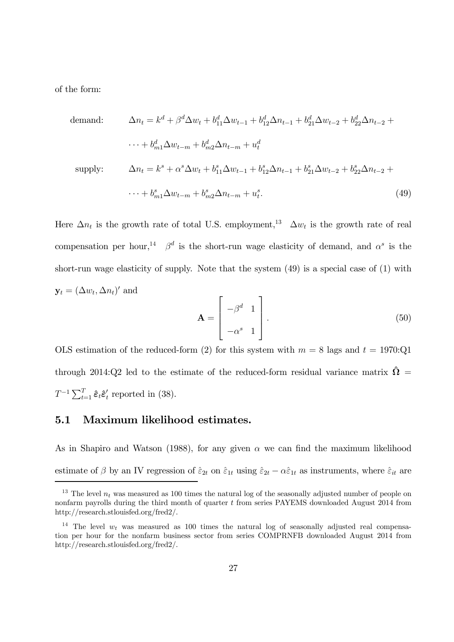of the form:

$$
\Delta n_t = k^d + \beta^d \Delta w_t + b_{11}^d \Delta w_{t-1} + b_{12}^d \Delta n_{t-1} + b_{21}^d \Delta w_{t-2} + b_{22}^d \Delta n_{t-2} + \cdots + b_{m1}^d \Delta w_{t-m} + b_{m2}^d \Delta n_{t-m} + u_t^d
$$
\n
$$
\text{supply:} \qquad \Delta n_t = k^s + \alpha^s \Delta w_t + b_{11}^s \Delta w_{t-1} + b_{12}^s \Delta n_{t-1} + b_{21}^s \Delta w_{t-2} + b_{22}^s \Delta n_{t-2} + b_{21}^s \Delta n_{t-1} + b_{21}^s \Delta n_{t-2} + b_{22}^s \Delta n_{t-2} + b_{22}^s \Delta n_{t-1} + b_{21}^s \Delta n_{t-1} + b_{21}^s \Delta n_{t-1} + b_{21}^s \Delta n_{t-2} + b_{22}^s \Delta n_{t-2} + b_{22}^s \Delta n_{t-1} + b_{21}^s \Delta n_{t-1} + b_{21}^s \Delta n_{t-1} + b_{21}^s \Delta n_{t-2} + b_{22}^s \Delta n_{t-2} + b_{22}^s \Delta n_{t-1} + b_{21}^s \Delta n_{t-1} + b_{21}^s \Delta n_{t-1} + b_{21}^s \Delta n_{t-2} + b_{22}^s \Delta n_{t-1} + b_{21}^s \Delta n_{t-1} + b_{21}^s \Delta n_{t-1} + b_{21}^s \Delta n_{t-1} + b_{21}^s \Delta n_{t-1} + b_{21}^s \Delta n_{t-2} + b_{22}^s \Delta n_{t-2} + b_{22}^s \Delta n_{t-1} + b_{21}^s \Delta n_{t-1} + b_{21}^s \Delta n_{t-1} + b_{21}^s \Delta n_{t-1} + b_{21}^s \Delta n_{t-1} + b_{21}^s \Delta n_{t-1} + b_{21}^s \Delta n_{t-1} + b_{21}^s \Delta n_{t-1} + b_{21}^s \Delta n_{t-1} + b_{21}^s \Delta n_{t
$$

$$
\cdots + b_{m1}^{s} \Delta w_{t-m} + b_{m2}^{s} \Delta n_{t-m} + u_{t}^{s}.
$$
\n(49)

Here  $\Delta n_t$  is the growth rate of total U.S. employment,<sup>13</sup>  $\Delta w_t$  is the growth rate of real compensation per hour,<sup>14</sup>  $\beta^d$  is the short-run wage elasticity of demand, and  $\alpha^s$  is the short-run wage elasticity of supply. Note that the system (49) is a special case of (1) with  $\mathbf{y}_t = (\Delta w_t, \Delta n_t)'$  and

$$
\mathbf{A} = \begin{bmatrix} -\beta^d & 1 \\ -\alpha^s & 1 \end{bmatrix} .
$$
 (50)

OLS estimation of the reduced-form (2) for this system with  $m = 8$  lags and  $t = 1970$ :Q1 through 2014:Q2 led to the estimate of the reduced-form residual variance matrix  $\hat{\Omega}$  =  $T^{-1} \sum_{t=1}^{T} \hat{\varepsilon}_t \hat{\varepsilon}'_t$  reported in (38).

#### 5.1 Maximum likelihood estimates.

As in Shapiro and Watson (1988), for any given  $\alpha$  we can find the maximum likelihood estimate of  $\beta$  by an IV regression of  $\hat{\varepsilon}_{2t}$  on  $\hat{\varepsilon}_{1t}$  using  $\hat{\varepsilon}_{2t} - \alpha \hat{\varepsilon}_{1t}$  as instruments, where  $\hat{\varepsilon}_{it}$  are

<sup>&</sup>lt;sup>13</sup> The level  $n_t$  was measured as 100 times the natural log of the seasonally adjusted number of people on nonfarm payrolls during the third month of quarter t from series PAYEMS downloaded August 2014 from http://research.stlouisfed.org/fred2/.

<sup>&</sup>lt;sup>14</sup> The level  $w_t$  was measured as 100 times the natural log of seasonally adjusted real compensation per hour for the nonfarm business sector from series COMPRNFB downloaded August 2014 from http://research.stlouisfed.org/fred2/.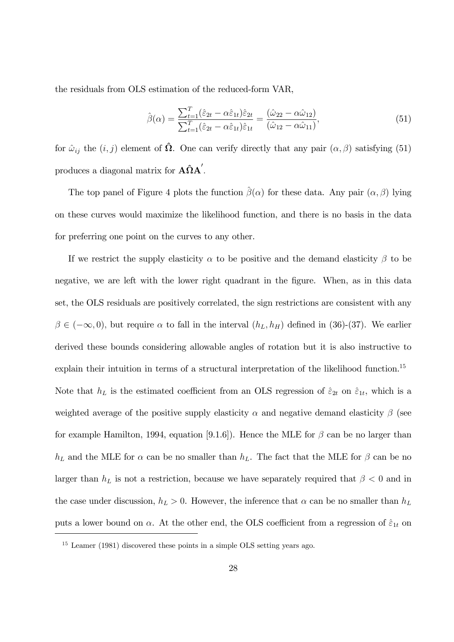the residuals from OLS estimation of the reduced-form VAR,

$$
\hat{\beta}(\alpha) = \frac{\sum_{t=1}^{T} (\hat{\varepsilon}_{2t} - \alpha \hat{\varepsilon}_{1t}) \hat{\varepsilon}_{2t}}{\sum_{t=1}^{T} (\hat{\varepsilon}_{2t} - \alpha \hat{\varepsilon}_{1t}) \hat{\varepsilon}_{1t}} = \frac{(\hat{\omega}_{22} - \alpha \hat{\omega}_{12})}{(\hat{\omega}_{12} - \alpha \hat{\omega}_{11})},
$$
(51)

for  $\hat{\omega}_{ij}$  the  $(i, j)$  element of  $\hat{\Omega}$ . One can verify directly that any pair  $(\alpha, \beta)$  satisfying (51) produces a diagonal matrix for  $\mathbf{A}\hat{\Omega}\mathbf{A}'$ .

The top panel of Figure 4 plots the function  $\hat{\beta}(\alpha)$  for these data. Any pair  $(\alpha, \beta)$  lying on these curves would maximize the likelihood function, and there is no basis in the data for preferring one point on the curves to any other.

If we restrict the supply elasticity  $\alpha$  to be positive and the demand elasticity  $\beta$  to be negative, we are left with the lower right quadrant in the figure. When, as in this data set, the OLS residuals are positively correlated, the sign restrictions are consistent with any  $\beta \in (-\infty, 0)$ , but require  $\alpha$  to fall in the interval  $(h_L, h_H)$  defined in (36)-(37). We earlier derived these bounds considering allowable angles of rotation but it is also instructive to explain their intuition in terms of a structural interpretation of the likelihood function.<sup>15</sup> Note that  $h_L$  is the estimated coefficient from an OLS regression of  $\hat{\varepsilon}_{2t}$  on  $\hat{\varepsilon}_{1t}$ , which is a weighted average of the positive supply elasticity  $\alpha$  and negative demand elasticity  $\beta$  (see for example Hamilton, 1994, equation [9.1.6]). Hence the MLE for  $\beta$  can be no larger than  $h_L$  and the MLE for  $\alpha$  can be no smaller than  $h_L$ . The fact that the MLE for  $\beta$  can be no larger than  $h_L$  is not a restriction, because we have separately required that  $\beta < 0$  and in the case under discussion,  $h_L > 0$ . However, the inference that  $\alpha$  can be no smaller than  $h_L$ puts a lower bound on  $\alpha$ . At the other end, the OLS coefficient from a regression of  $\hat{\varepsilon}_{1t}$  on

<sup>15</sup> Leamer (1981) discovered these points in a simple OLS setting years ago.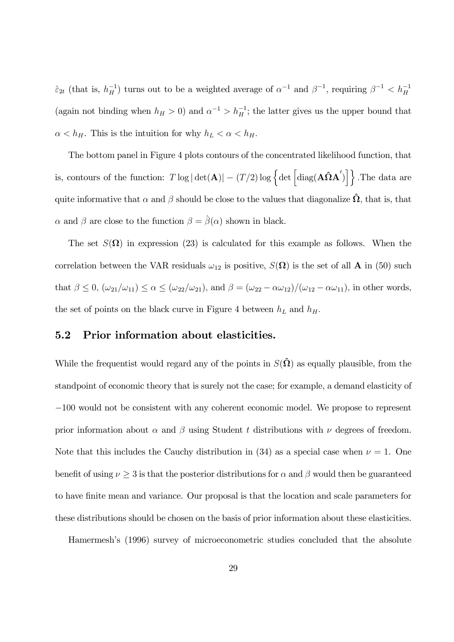$\hat{\epsilon}_{2t}$  (that is,  $h_H^{-1}$ ) turns out to be a weighted average of  $\alpha^{-1}$  and  $\beta^{-1}$ , requiring  $\beta^{-1} < h_H^{-1}$ (again not binding when  $h_H > 0$ ) and  $\alpha^{-1} > h_H^{-1}$ ; the latter gives us the upper bound that  $\alpha < h_H$ . This is the intuition for why  $h_L < \alpha < h_H$ .

The bottom panel in Figure 4 plots contours of the concentrated likelihood function, that is, contours of the function:  $T \log |\det(A)| - (T/2) \log \{ \det [\text{diag}(A\hat{\Omega}A')] \}$ . The data are quite informative that  $\alpha$  and  $\beta$  should be close to the values that diagonalize  $\Omega$ , that is, that  $\alpha$  and  $\beta$  are close to the function  $\beta = \hat{\beta}(\alpha)$  shown in black.

The set  $S(\Omega)$  in expression (23) is calculated for this example as follows. When the correlation between the VAR residuals  $\omega_{12}$  is positive,  $S(\mathbf{\Omega})$  is the set of all **A** in (50) such that  $\beta \le 0$ ,  $(\omega_{21}/\omega_{11}) \le \alpha \le (\omega_{22}/\omega_{21})$ , and  $\beta = (\omega_{22} - \alpha \omega_{12})/(\omega_{12} - \alpha \omega_{11})$ , in other words, the set of points on the black curve in Figure 4 between  $h_L$  and  $h_H$ .

### 5.2 Prior information about elasticities.

While the frequentist would regard any of the points in  $S(\hat{\Omega})$  as equally plausible, from the standpoint of economic theory that is surely not the case; for example, a demand elasticity of −100 would not be consistent with any coherent economic model. We propose to represent prior information about  $\alpha$  and  $\beta$  using Student t distributions with  $\nu$  degrees of freedom. Note that this includes the Cauchy distribution in (34) as a special case when  $\nu = 1$ . One benefit of using  $\nu \geq 3$  is that the posterior distributions for  $\alpha$  and  $\beta$  would then be guaranteed to have finite mean and variance. Our proposal is that the location and scale parameters for these distributions should be chosen on the basis of prior information about these elasticities.

Hamermesh's (1996) survey of microeconometric studies concluded that the absolute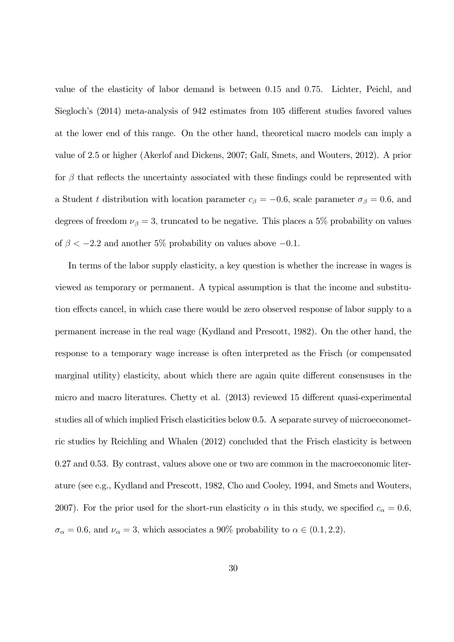value of the elasticity of labor demand is between 0.15 and 0.75. Lichter, Peichl, and Siegloch's (2014) meta-analysis of 942 estimates from 105 different studies favored values at the lower end of this range. On the other hand, theoretical macro models can imply a value of 2.5 or higher (Akerlof and Dickens, 2007; Galí, Smets, and Wouters, 2012). A prior for  $\beta$  that reflects the uncertainty associated with these findings could be represented with a Student t distribution with location parameter  $c_\beta = -0.6$ , scale parameter  $\sigma_\beta = 0.6$ , and degrees of freedom  $\nu_{\beta} = 3$ , truncated to be negative. This places a 5% probability on values of  $\beta < -2.2$  and another 5% probability on values above  $-0.1$ .

In terms of the labor supply elasticity, a key question is whether the increase in wages is viewed as temporary or permanent. A typical assumption is that the income and substitution effects cancel, in which case there would be zero observed response of labor supply to a permanent increase in the real wage (Kydland and Prescott, 1982). On the other hand, the response to a temporary wage increase is often interpreted as the Frisch (or compensated marginal utility) elasticity, about which there are again quite different consensuses in the micro and macro literatures. Chetty et al. (2013) reviewed 15 different quasi-experimental studies all of which implied Frisch elasticities below 0.5. A separate survey of microeconometric studies by Reichling and Whalen (2012) concluded that the Frisch elasticity is between 0.27 and 0.53. By contrast, values above one or two are common in the macroeconomic literature (see e.g., Kydland and Prescott, 1982, Cho and Cooley, 1994, and Smets and Wouters, 2007). For the prior used for the short-run elasticity  $\alpha$  in this study, we specified  $c_{\alpha} = 0.6$ ,  $\sigma_{\alpha} = 0.6$ , and  $\nu_{\alpha} = 3$ , which associates a 90% probability to  $\alpha \in (0.1, 2.2)$ .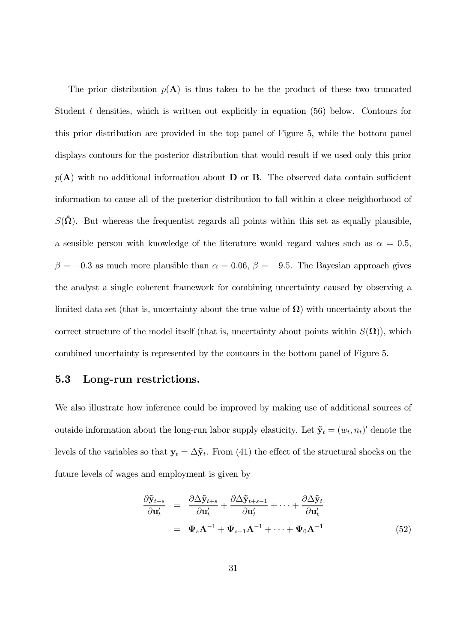The prior distribution  $p(A)$  is thus taken to be the product of these two truncated Student t densities, which is written out explicitly in equation (56) below. Contours for this prior distribution are provided in the top panel of Figure 5, while the bottom panel displays contours for the posterior distribution that would result if we used only this prior  $p(A)$  with no additional information about D or B. The observed data contain sufficient information to cause all of the posterior distribution to fall within a close neighborhood of  $S(\hat{\Omega})$ . But whereas the frequentist regards all points within this set as equally plausible, a sensible person with knowledge of the literature would regard values such as  $\alpha = 0.5$ ,  $\beta = -0.3$  as much more plausible than  $\alpha = 0.06$ ,  $\beta = -9.5$ . The Bayesian approach gives the analyst a single coherent framework for combining uncertainty caused by observing a limited data set (that is, uncertainty about the true value of  $\Omega$ ) with uncertainty about the correct structure of the model itself (that is, uncertainty about points within  $S(\Omega)$ ), which combined uncertainty is represented by the contours in the bottom panel of Figure 5.

#### 5.3 Long-run restrictions.

We also illustrate how inference could be improved by making use of additional sources of outside information about the long-run labor supply elasticity. Let  $\tilde{\mathbf{y}}_t = (w_t, n_t)'$  denote the levels of the variables so that  $y_t = \Delta \tilde{y}_t$ . From (41) the effect of the structural shocks on the future levels of wages and employment is given by

$$
\frac{\partial \tilde{\mathbf{y}}_{t+s}}{\partial \mathbf{u}'_t} = \frac{\partial \Delta \tilde{\mathbf{y}}_{t+s}}{\partial \mathbf{u}'_t} + \frac{\partial \Delta \tilde{\mathbf{y}}_{t+s-1}}{\partial \mathbf{u}'_t} + \dots + \frac{\partial \Delta \tilde{\mathbf{y}}_t}{\partial \mathbf{u}'_t}
$$
\n
$$
= \mathbf{\Psi}_s \mathbf{A}^{-1} + \mathbf{\Psi}_{s-1} \mathbf{A}^{-1} + \dots + \mathbf{\Psi}_0 \mathbf{A}^{-1}
$$
\n(52)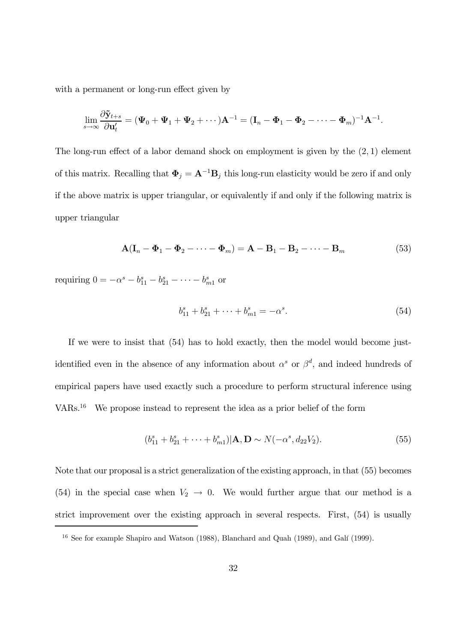with a permanent or long-run effect given by

$$
\lim_{s\to\infty}\frac{\partial \tilde{\mathbf{y}}_{t+s}}{\partial \mathbf{u}'_t}=(\mathbf{\Psi}_0+\mathbf{\Psi}_1+\mathbf{\Psi}_2+\cdots)\mathbf{A}^{-1}=(\mathbf{I}_n-\mathbf{\Phi}_1-\mathbf{\Phi}_2-\cdots-\mathbf{\Phi}_m)^{-1}\mathbf{A}^{-1}.
$$

The long-run effect of a labor demand shock on employment is given by the (2, 1) element of this matrix. Recalling that  $\mathbf{\Phi}_j = \mathbf{A}^{-1} \mathbf{B}_j$  this long-run elasticity would be zero if and only if the above matrix is upper triangular, or equivalently if and only if the following matrix is upper triangular

$$
\mathbf{A}(\mathbf{I}_n - \mathbf{\Phi}_1 - \mathbf{\Phi}_2 - \cdots - \mathbf{\Phi}_m) = \mathbf{A} - \mathbf{B}_1 - \mathbf{B}_2 - \cdots - \mathbf{B}_m
$$
\n(53)

requiring  $0 = -\alpha^s - b_{11}^s - b_{21}^s - \cdots - b_{m1}^s$  or

$$
b_{11}^s + b_{21}^s + \dots + b_{m1}^s = -\alpha^s. \tag{54}
$$

If we were to insist that (54) has to hold exactly, then the model would become justidentified even in the absence of any information about  $\alpha^s$  or  $\beta^d$ , and indeed hundreds of empirical papers have used exactly such a procedure to perform structural inference using VARs.<sup>16</sup> We propose instead to represent the idea as a prior belief of the form

$$
(b_{11}^s + b_{21}^s + \dots + b_{m1}^s)|\mathbf{A}, \mathbf{D} \sim N(-\alpha^s, d_{22}V_2).
$$
 (55)

Note that our proposal is a strict generalization of the existing approach, in that (55) becomes (54) in the special case when  $V_2 \rightarrow 0$ . We would further argue that our method is a strict improvement over the existing approach in several respects. First, (54) is usually

<sup>&</sup>lt;sup>16</sup> See for example Shapiro and Watson (1988), Blanchard and Quah (1989), and Galí (1999).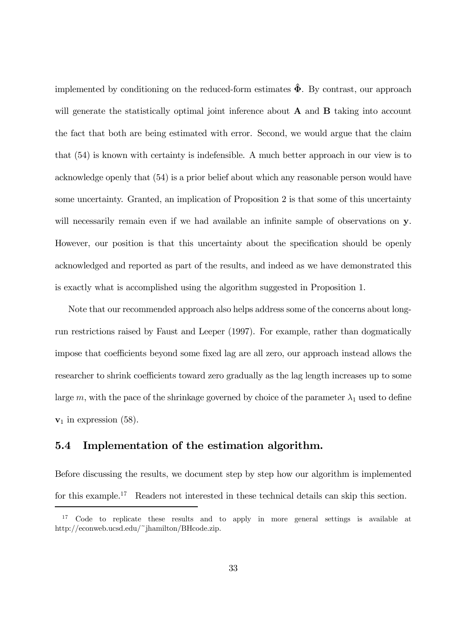implemented by conditioning on the reduced-form estimates  $\hat{\Phi}$ . By contrast, our approach will generate the statistically optimal joint inference about  $A$  and  $B$  taking into account the fact that both are being estimated with error. Second, we would argue that the claim that (54) is known with certainty is indefensible. A much better approach in our view is to acknowledge openly that (54) is a prior belief about which any reasonable person would have some uncertainty. Granted, an implication of Proposition 2 is that some of this uncertainty will necessarily remain even if we had available an infinite sample of observations on y. However, our position is that this uncertainty about the specification should be openly acknowledged and reported as part of the results, and indeed as we have demonstrated this is exactly what is accomplished using the algorithm suggested in Proposition 1.

Note that our recommended approach also helps address some of the concerns about longrun restrictions raised by Faust and Leeper (1997). For example, rather than dogmatically impose that coefficients beyond some fixed lag are all zero, our approach instead allows the researcher to shrink coefficients toward zero gradually as the lag length increases up to some large m, with the pace of the shrinkage governed by choice of the parameter  $\lambda_1$  used to define  $v_1$  in expression (58).

#### 5.4 Implementation of the estimation algorithm.

Before discussing the results, we document step by step how our algorithm is implemented for this example.<sup>17</sup> Readers not interested in these technical details can skip this section.

<sup>&</sup>lt;sup>17</sup> Code to replicate these results and to apply in more general settings is available at http://econweb.ucsd.edu/~jhamilton/BHcode.zip.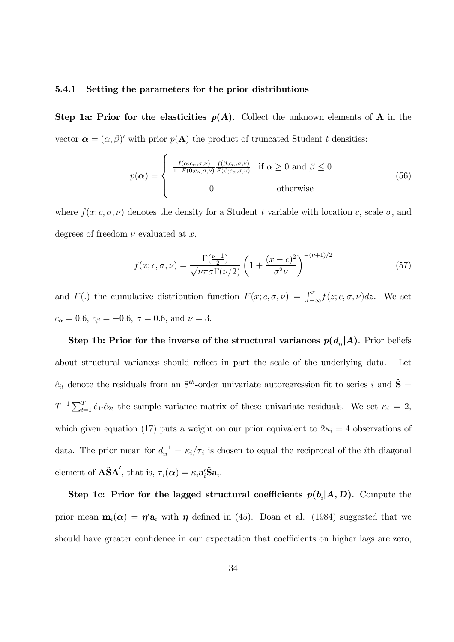#### 5.4.1 Setting the parameters for the prior distributions

Step 1a: Prior for the elasticities  $p(A)$ . Collect the unknown elements of A in the vector  $\boldsymbol{\alpha} = (\alpha, \beta)'$  with prior  $p(\mathbf{A})$  the product of truncated Student t densities:

$$
p(\boldsymbol{\alpha}) = \begin{cases} \frac{f(\alpha; c_{\alpha}, \sigma, \nu)}{1 - F(0; c_{\alpha}, \sigma, \nu)} \frac{f(\beta; c_{\alpha}, \sigma, \nu)}{F(\beta; c_{\alpha}, \sigma, \nu)} & \text{if } \alpha \ge 0 \text{ and } \beta \le 0\\ 0 & \text{otherwise} \end{cases}
$$
(56)

where  $f(x; c, \sigma, \nu)$  denotes the density for a Student *t* variable with location *c*, scale  $\sigma$ , and degrees of freedom  $\nu$  evaluated at  $x$ ,

$$
f(x; c, \sigma, \nu) = \frac{\Gamma(\frac{\nu+1}{2})}{\sqrt{\nu \pi} \sigma \Gamma(\nu/2)} \left( 1 + \frac{(x-c)^2}{\sigma^2 \nu} \right)^{-(\nu+1)/2}
$$
(57)

and  $F(.)$  the cumulative distribution function  $F(x; c, \sigma, \nu) = \int_{-\infty}^{x} f(z; c, \sigma, \nu) dz$ . We set  $c_{\alpha} = 0.6, c_{\beta} = -0.6, \sigma = 0.6, \,\text{and} \,\, \nu = 3.$ 

Step 1b: Prior for the inverse of the structural variances  $p(d_{ii}|A)$ . Prior beliefs about structural variances should reflect in part the scale of the underlying data. Let  $\hat{e}_{it}$  denote the residuals from an  $8^{th}$ -order univariate autoregression fit to series i and  $\hat{S} =$  $T^{-1} \sum_{t=1}^{T} \hat{e}_{1t} \hat{e}_{2t}$  the sample variance matrix of these univariate residuals. We set  $\kappa_i = 2$ , which given equation (17) puts a weight on our prior equivalent to  $2\kappa_i = 4$  observations of data. The prior mean for  $d_{ii}^{-1} = \kappa_i/\tau_i$  is chosen to equal the reciprocal of the *i*th diagonal element of  $\angle A\hat{S}A'$ , that is,  $\tau_i(\alpha) = \kappa_i a'_i \hat{S}a_i$ .

Step 1c: Prior for the lagged structural coefficients  $p(b_i|A, D)$ . Compute the prior mean  $\mathbf{m}_i(\alpha) = \eta' \mathbf{a}_i$  with  $\eta$  defined in (45). Doan et al. (1984) suggested that we should have greater confidence in our expectation that coefficients on higher lags are zero,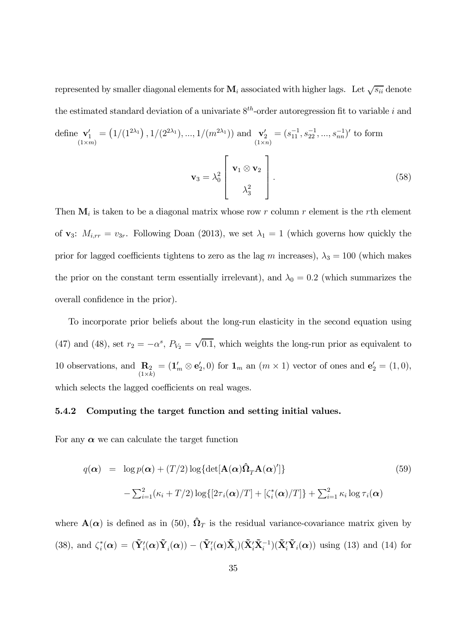represented by smaller diagonal elements for  $M_i$  associated with higher lags. Let  $\sqrt{s_{ii}}$  denote the estimated standard deviation of a univariate  $8^{th}$ -order autoregression fit to variable i and

define 
$$
\mathbf{v}'_1 = (1/(1^{2\lambda_1}), 1/(2^{2\lambda_1}), ..., 1/(m^{2\lambda_1}))
$$
 and  $\mathbf{v}'_2 = (s_{11}^{-1}, s_{22}^{-1}, ..., s_{nn}^{-1})'$  to form  
\n
$$
\mathbf{v}_3 = \lambda_0^2 \begin{bmatrix} \mathbf{v}_1 \otimes \mathbf{v}_2 \\ \lambda_3^2 \end{bmatrix}.
$$
\n(58)

Then  $\mathbf{M}_i$  is taken to be a diagonal matrix whose row r column r element is the rth element of  $\mathbf{v}_3$ :  $M_{i,rr} = v_{3r}$ . Following Doan (2013), we set  $\lambda_1 = 1$  (which governs how quickly the prior for lagged coefficients tightens to zero as the lag m increases),  $\lambda_3 = 100$  (which makes the prior on the constant term essentially irrelevant), and  $\lambda_0 = 0.2$  (which summarizes the overall confidence in the prior).

To incorporate prior beliefs about the long-run elasticity in the second equation using (47) and (48), set  $r_2 = -\alpha^s$ ,  $P_{V_2} = \sqrt{0.1}$ , which weights the long-run prior as equivalent to 10 observations, and  $\mathbf{R}_2$  $(1\times k)$  $=(\mathbf{1}'_m \otimes \mathbf{e}'_2, 0)$  for  $\mathbf{1}_m$  an  $(m \times 1)$  vector of ones and  $\mathbf{e}'_2 = (1, 0)$ , which selects the lagged coefficients on real wages.

#### 5.4.2 Computing the target function and setting initial values.

For any  $\alpha$  we can calculate the target function

$$
q(\boldsymbol{\alpha}) = \log p(\boldsymbol{\alpha}) + (T/2) \log \{ \det[\mathbf{A}(\boldsymbol{\alpha})\hat{\mathbf{\Omega}}_T \mathbf{A}(\boldsymbol{\alpha})'] \} - \sum_{i=1}^2 (\kappa_i + T/2) \log \{ [2\tau_i(\boldsymbol{\alpha})/T] + [\zeta_i^*(\boldsymbol{\alpha})/T] \} + \sum_{i=1}^2 \kappa_i \log \tau_i(\boldsymbol{\alpha})
$$
(59)

where  $\mathbf{A}(\alpha)$  is defined as in (50),  $\hat{\mathbf{\Omega}}_T$  is the residual variance-covariance matrix given by (38), and  $\zeta_i^*(\mathbf{\alpha}) = (\tilde{\mathbf{Y}}_i'(\mathbf{\alpha})\tilde{\mathbf{Y}}_i(\mathbf{\alpha})) - (\tilde{\mathbf{Y}}_i'(\mathbf{\alpha})\tilde{\mathbf{X}}_i)(\tilde{\mathbf{X}}_i'\tilde{\mathbf{X}}_i^{-1})(\tilde{\mathbf{X}}_i'\tilde{\mathbf{Y}}_i(\mathbf{\alpha}))$  using (13) and (14) for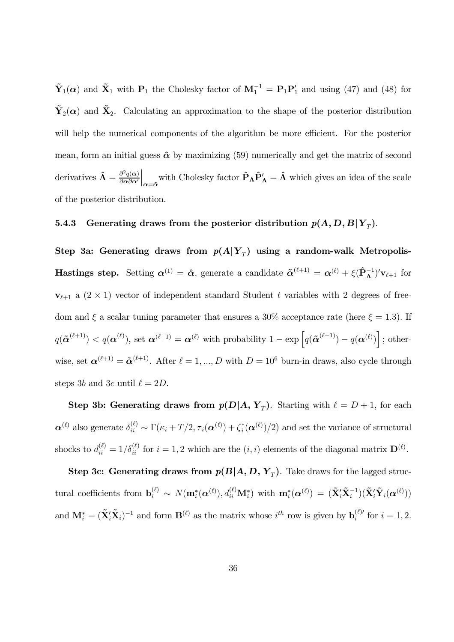$\tilde{\mathbf{Y}}_1(\alpha)$  and  $\tilde{\mathbf{X}}_1$  with  $\mathbf{P}_1$  the Cholesky factor of  $\mathbf{M}_1^{-1} = \mathbf{P}_1 \mathbf{P}_1'$  and using (47) and (48) for  $\tilde{\mathbf{Y}}_2(\boldsymbol{\alpha})$  and  $\tilde{\mathbf{X}}_2$ . Calculating an approximation to the shape of the posterior distribution will help the numerical components of the algorithm be more efficient. For the posterior mean, form an initial guess  $\hat{\boldsymbol{\alpha}}$  by maximizing (59) numerically and get the matrix of second derivatives  $\hat{\Lambda} = \frac{\partial^2 q(\alpha)}{\partial \alpha \partial \alpha'}$ ∂α∂α′ with Cholesky factor  $\hat{P}_{\Lambda} \hat{P}'_{\Lambda} = \hat{\Lambda}$  which gives an idea of the scale of the posterior distribution.

### 5.4.3 Generating draws from the posterior distribution  $p(A, D, B|Y_{T}).$

Step 3a: Generating draws from  $p(A|Y_{\scriptscriptstyle T})$  using a random-walk Metropolis-**Hastings step.** Setting  $\alpha^{(1)} = \hat{\alpha}$ , generate a candidate  $\tilde{\alpha}^{(\ell+1)} = \alpha^{(\ell)} + \xi(\hat{P}_{\Lambda}^{-1})'v_{\ell+1}$  for  $v_{\ell+1}$  a  $(2 \times 1)$  vector of independent standard Student t variables with 2 degrees of freedom and  $\xi$  a scalar tuning parameter that ensures a 30% acceptance rate (here  $\xi = 1.3$ ). If  $q(\tilde{\boldsymbol{\alpha}}^{(\ell+1)}) < q(\boldsymbol{\alpha}^{(\ell)}),$  set  $\boldsymbol{\alpha}^{(\ell+1)} = \boldsymbol{\alpha}^{(\ell)}$  with probability  $1 - \exp\left[q(\tilde{\boldsymbol{\alpha}}^{(\ell+1)}) - q(\boldsymbol{\alpha}^{(\ell)})\right]$ ; otherwise, set  $\boldsymbol{\alpha}^{(\ell+1)} = \boldsymbol{\tilde{\alpha}}^{(\ell+1)}$ . After  $\ell = 1, ..., D$  with  $D = 10^6$  burn-in draws, also cycle through steps 3b and 3c until  $\ell = 2D$ .

**Step 3b: Generating draws from**  $p(D|A, Y_T)$ **.** Starting with  $\ell = D + 1$ , for each  $\boldsymbol{\alpha}^{(\ell)}$  also generate  $\delta_{ii}^{(\ell)} \sim \Gamma(\kappa_i + T/2, \tau_i(\boldsymbol{\alpha}^{(\ell)}) + \zeta_i^*(\boldsymbol{\alpha}^{(\ell)})/2)$  and set the variance of structural shocks to  $d_{ii}^{(\ell)} = 1/\delta_{ii}^{(\ell)}$  for  $i = 1, 2$  which are the  $(i, i)$  elements of the diagonal matrix  $\mathbf{D}^{(\ell)}$ .

Step 3c: Generating draws from  $p(B|A, D, Y_T)$ . Take draws for the lagged structural coefficients from  $\mathbf{b}_i^{(\ell)} \sim N(\mathbf{m}_i^*(\boldsymbol{\alpha}^{(\ell)}), d_{ii}^{(\ell)}\mathbf{M}_i^*)$  with  $\mathbf{m}_i^*(\boldsymbol{\alpha}^{(\ell)}) = (\tilde{\mathbf{X}}_i^{\prime} \tilde{\mathbf{X}}_i^{-1}) (\tilde{\mathbf{X}}_i^{\prime} \tilde{\mathbf{Y}}_i(\boldsymbol{\alpha}^{(\ell)}))$ and  $\mathbf{M}_{i}^{*} = (\tilde{\mathbf{X}}_{i}' \tilde{\mathbf{X}}_{i})^{-1}$  and form  $\mathbf{B}^{(\ell)}$  as the matrix whose  $i^{th}$  row is given by  $\mathbf{b}_{i}^{(\ell)}$  for  $i = 1, 2$ .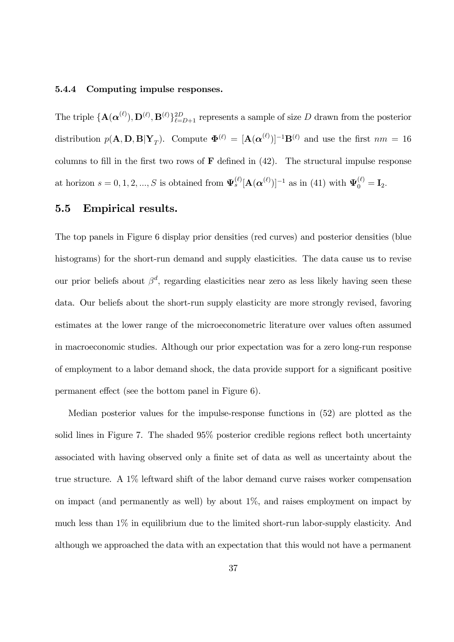#### 5.4.4 Computing impulse responses.

The triple  $\{A(\alpha^{(\ell)}), D^{(\ell)}, B^{(\ell)}\}_{\ell=D+1}^{2D}$  represents a sample of size D drawn from the posterior distribution  $p(\mathbf{A}, \mathbf{D}, \mathbf{B} | \mathbf{Y}_T)$ . Compute  $\mathbf{\Phi}^{(\ell)} = [\mathbf{A}(\boldsymbol{\alpha}^{(\ell)})]^{-1} \mathbf{B}^{(\ell)}$  and use the first  $nm = 16$ columns to fill in the first two rows of  $\bf{F}$  defined in  $(42)$ . The structural impulse response at horizon  $s = 0, 1, 2, ..., S$  is obtained from  $\Psi_s^{(\ell)}[\mathbf{A}(\boldsymbol{\alpha}^{(\ell)})]^{-1}$  as in (41) with  $\Psi_0^{(\ell)} = \mathbf{I}_2$ .

#### 5.5 Empirical results.

The top panels in Figure 6 display prior densities (red curves) and posterior densities (blue histograms) for the short-run demand and supply elasticities. The data cause us to revise our prior beliefs about  $\beta^d$ , regarding elasticities near zero as less likely having seen these data. Our beliefs about the short-run supply elasticity are more strongly revised, favoring estimates at the lower range of the microeconometric literature over values often assumed in macroeconomic studies. Although our prior expectation was for a zero long-run response of employment to a labor demand shock, the data provide support for a significant positive permanent effect (see the bottom panel in Figure 6).

Median posterior values for the impulse-response functions in (52) are plotted as the solid lines in Figure 7. The shaded 95% posterior credible regions reflect both uncertainty associated with having observed only a finite set of data as well as uncertainty about the true structure. A 1% leftward shift of the labor demand curve raises worker compensation on impact (and permanently as well) by about  $1\%$ , and raises employment on impact by much less than 1% in equilibrium due to the limited short-run labor-supply elasticity. And although we approached the data with an expectation that this would not have a permanent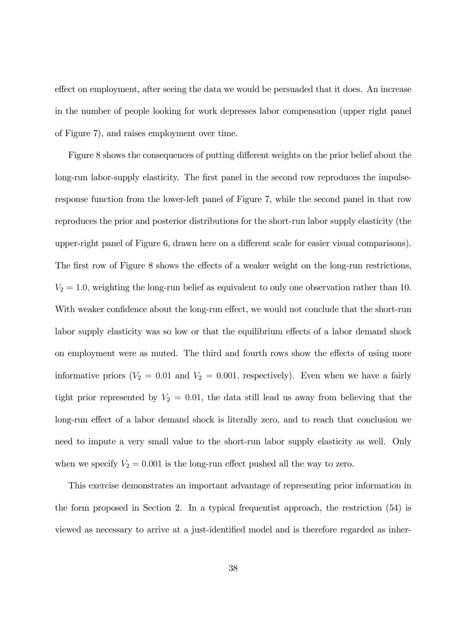effect on employment, after seeing the data we would be persuaded that it does. An increase in the number of people looking for work depresses labor compensation (upper right panel of Figure 7), and raises employment over time.

Figure 8 shows the consequences of putting different weights on the prior belief about the long-run labor-supply elasticity. The first panel in the second row reproduces the impulseresponse function from the lower-left panel of Figure 7, while the second panel in that row reproduces the prior and posterior distributions for the short-run labor supply elasticity (the upper-right panel of Figure 6, drawn here on a different scale for easier visual comparisons). The first row of Figure 8 shows the effects of a weaker weight on the long-run restrictions,  $V_2 = 1.0$ , weighting the long-run belief as equivalent to only one observation rather than 10. With weaker confidence about the long-run effect, we would not conclude that the short-run labor supply elasticity was so low or that the equilibrium effects of a labor demand shock on employment were as muted. The third and fourth rows show the effects of using more informative priors ( $V_2 = 0.01$  and  $V_2 = 0.001$ , respectively). Even when we have a fairly tight prior represented by  $V_2 = 0.01$ , the data still lead us away from believing that the long-run effect of a labor demand shock is literally zero, and to reach that conclusion we need to impute a very small value to the short-run labor supply elasticity as well. Only when we specify  $V_2 = 0.001$  is the long-run effect pushed all the way to zero.

This exercise demonstrates an important advantage of representing prior information in the form proposed in Section 2. In a typical frequentist approach, the restriction (54) is viewed as necessary to arrive at a just-identified model and is therefore regarded as inher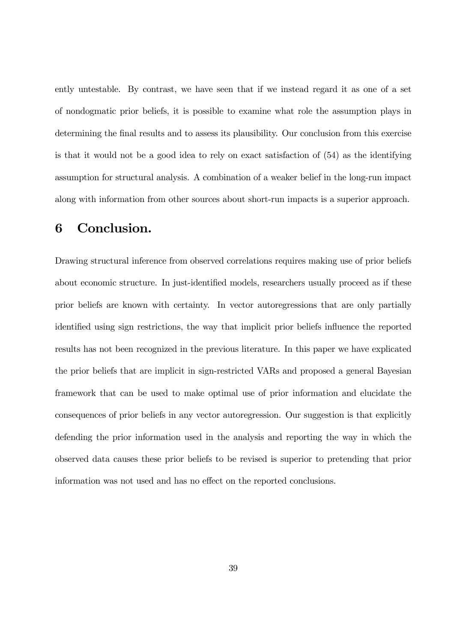ently untestable. By contrast, we have seen that if we instead regard it as one of a set of nondogmatic prior beliefs, it is possible to examine what role the assumption plays in determining the final results and to assess its plausibility. Our conclusion from this exercise is that it would not be a good idea to rely on exact satisfaction of (54) as the identifying assumption for structural analysis. A combination of a weaker belief in the long-run impact along with information from other sources about short-run impacts is a superior approach.

## 6 Conclusion.

Drawing structural inference from observed correlations requires making use of prior beliefs about economic structure. In just-identified models, researchers usually proceed as if these prior beliefs are known with certainty. In vector autoregressions that are only partially identified using sign restrictions, the way that implicit prior beliefs influence the reported results has not been recognized in the previous literature. In this paper we have explicated the prior beliefs that are implicit in sign-restricted VARs and proposed a general Bayesian framework that can be used to make optimal use of prior information and elucidate the consequences of prior beliefs in any vector autoregression. Our suggestion is that explicitly defending the prior information used in the analysis and reporting the way in which the observed data causes these prior beliefs to be revised is superior to pretending that prior information was not used and has no effect on the reported conclusions.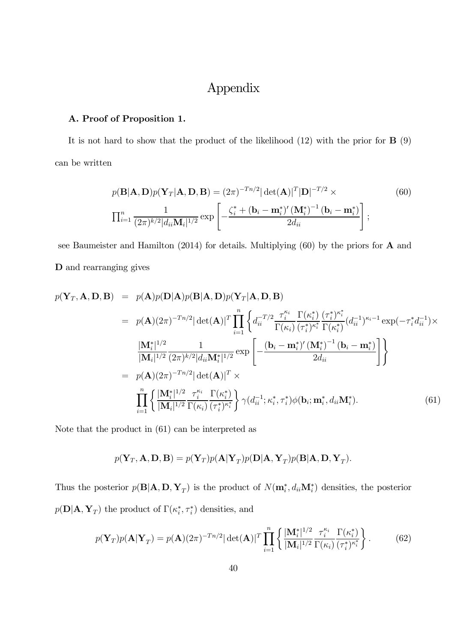## Appendix

#### A. Proof of Proposition 1.

It is not hard to show that the product of the likelihood  $(12)$  with the prior for  $\bf{B}$   $(9)$ can be written

$$
p(\mathbf{B}|\mathbf{A}, \mathbf{D})p(\mathbf{Y}_T|\mathbf{A}, \mathbf{D}, \mathbf{B}) = (2\pi)^{-Tn/2} |\det(\mathbf{A})|^T |\mathbf{D}|^{-T/2} \times
$$
\n
$$
\prod_{i=1}^n \frac{1}{(2\pi)^{k/2} |d_{ii}\mathbf{M}_i|^{1/2}} \exp\left[-\frac{\zeta_i^* + (\mathbf{b}_i - \mathbf{m}_i^*)' (\mathbf{M}_i^*)^{-1} (\mathbf{b}_i - \mathbf{m}_i^*)}{2d_{ii}}\right],
$$
\n(60)

see Baumeister and Hamilton (2014) for details. Multiplying (60) by the priors for A and D and rearranging gives

$$
p(\mathbf{Y}_{T}, \mathbf{A}, \mathbf{D}, \mathbf{B}) = p(\mathbf{A})p(\mathbf{D}|\mathbf{A})p(\mathbf{B}|\mathbf{A}, \mathbf{D})p(\mathbf{Y}_{T}|\mathbf{A}, \mathbf{D}, \mathbf{B})
$$
  
\n
$$
= p(\mathbf{A})(2\pi)^{-Tn/2} |\det(\mathbf{A})|^{T} \prod_{i=1}^{n} \left\{ d_{ii}^{-T/2} \frac{\tau_{i}^{\kappa_{i}}}{\Gamma(\kappa_{i})} \frac{\Gamma(\kappa_{i}^{*}) (\tau_{i}^{*})^{\kappa_{i}^{*}}}{(\tau_{i}^{*})^{\kappa_{i}^{*}} \Gamma(\kappa_{i}^{*})} (d_{ii}^{-1})^{\kappa_{i}-1} \exp(-\tau_{i}^{*} d_{ii}^{-1}) \times \frac{|\mathbf{M}_{i}^{*}|^{1/2}}{|\mathbf{M}_{i}|^{1/2}} \frac{1}{(2\pi)^{k/2} |d_{ii} \mathbf{M}_{i}^{*}|^{1/2}} \exp\left[-\frac{(\mathbf{b}_{i} - \mathbf{m}_{i}^{*})' (\mathbf{M}_{i}^{*})^{-1} (\mathbf{b}_{i} - \mathbf{m}_{i}^{*})}{2d_{ii}}\right]\right\}
$$
  
\n
$$
= p(\mathbf{A})(2\pi)^{-Tn/2} |\det(\mathbf{A})|^{T} \times \prod_{i=1}^{n} \left\{ \frac{|\mathbf{M}_{i}^{*}|^{1/2} \tau_{i}^{\kappa_{i}}}{|\mathbf{M}_{i}|^{1/2} \Gamma(\kappa_{i})} \frac{\Gamma(\kappa_{i}^{*})}{(\tau_{i}^{*})^{\kappa_{i}^{*}}}\right\} \gamma(d_{ii}^{-1}; \kappa_{i}^{*}, \tau_{i}^{*})\phi(\mathbf{b}_{i}; \mathbf{m}_{i}^{*}, d_{ii} \mathbf{M}_{i}^{*}). \tag{61}
$$

Note that the product in (61) can be interpreted as

$$
p(\mathbf{Y}_T, \mathbf{A}, \mathbf{D}, \mathbf{B}) = p(\mathbf{Y}_T) p(\mathbf{A} | \mathbf{Y}_T) p(\mathbf{D} | \mathbf{A}, \mathbf{Y}_T) p(\mathbf{B} | \mathbf{A}, \mathbf{D}, \mathbf{Y}_T).
$$

Thus the posterior  $p(\mathbf{B}|\mathbf{A}, \mathbf{D}, \mathbf{Y}_T)$  is the product of  $N(\mathbf{m}_i^*, d_{ii}\mathbf{M}_i^*)$  densities, the posterior  $p(\mathbf{D}|\mathbf{A}, \mathbf{Y}_T)$  the product of  $\Gamma(\kappa_i^*, \tau_i^*)$  densities, and

$$
p(\mathbf{Y}_T)p(\mathbf{A}|\mathbf{Y}_T) = p(\mathbf{A})(2\pi)^{-Tn/2} |\det(\mathbf{A})|^T \prod_{i=1}^n \left\{ \frac{|\mathbf{M}_i^*|^{1/2}}{|\mathbf{M}_i|^{1/2}} \frac{\tau_i^{\kappa_i}}{\Gamma(\kappa_i)} \frac{\Gamma(\kappa_i^*)}{(\tau_i^*)^{\kappa_i^*}} \right\}.
$$
 (62)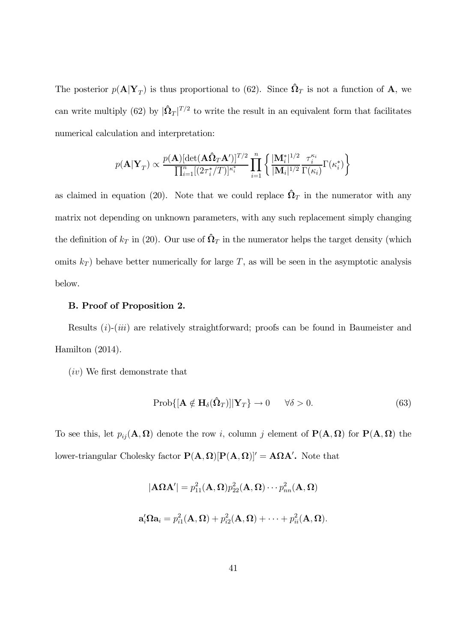The posterior  $p(\mathbf{A}|\mathbf{Y}_T)$  is thus proportional to (62). Since  $\hat{\mathbf{\Omega}}_T$  is not a function of  $\mathbf{A}$ , we can write multiply (62) by  $|\hat{\Omega}_T|^{T/2}$  to write the result in an equivalent form that facilitates numerical calculation and interpretation:

$$
p(\mathbf{A}|\mathbf{Y}_T) \propto \frac{p(\mathbf{A})[\det(\mathbf{A}\hat{\mathbf{\Omega}}_T\mathbf{A}')]^{T/2}}{\prod_{i=1}^n [(2\tau_i^*/T)]^{\kappa_i^*}} \prod_{i=1}^n \left\{ \frac{|\mathbf{M}_i^*|^{1/2}}{|\mathbf{M}_i|^{1/2}} \frac{\tau_i^{\kappa_i}}{\Gamma(\kappa_i)} \Gamma(\kappa_i^*) \right\}
$$

as claimed in equation (20). Note that we could replace  $\hat{\Omega}_T$  in the numerator with any matrix not depending on unknown parameters, with any such replacement simply changing the definition of  $k_T$  in (20). Our use of  $\hat{\Omega}_T$  in the numerator helps the target density (which omits  $k_T$ ) behave better numerically for large T, as will be seen in the asymptotic analysis below.

#### B. Proof of Proposition 2.

Results (*i*)-(*iii*) are relatively straightforward; proofs can be found in Baumeister and Hamilton (2014).

(iv) We first demonstrate that

$$
Prob\{[\mathbf{A} \notin \mathbf{H}_{\delta}(\hat{\mathbf{\Omega}}_T)] | \mathbf{Y}_T\} \to 0 \quad \forall \delta > 0.
$$
\n(63)

To see this, let  $p_{ij}(\mathbf{A}, \mathbf{\Omega})$  denote the row i, column j element of  $\mathbf{P}(\mathbf{A}, \mathbf{\Omega})$  for  $\mathbf{P}(\mathbf{A}, \mathbf{\Omega})$  the lower-triangular Cholesky factor  $P(A, \Omega)[P(A, \Omega)]' = A\Omega A'$ . Note that

$$
|\mathbf{A}\Omega\mathbf{A}'| = p_{11}^2(\mathbf{A}, \Omega)p_{22}^2(\mathbf{A}, \Omega) \cdots p_{nn}^2(\mathbf{A}, \Omega)
$$
  

$$
\mathbf{a}'_i\Omega\mathbf{a}_i = p_{i1}^2(\mathbf{A}, \Omega) + p_{i2}^2(\mathbf{A}, \Omega) + \cdots + p_{ii}^2(\mathbf{A}, \Omega).
$$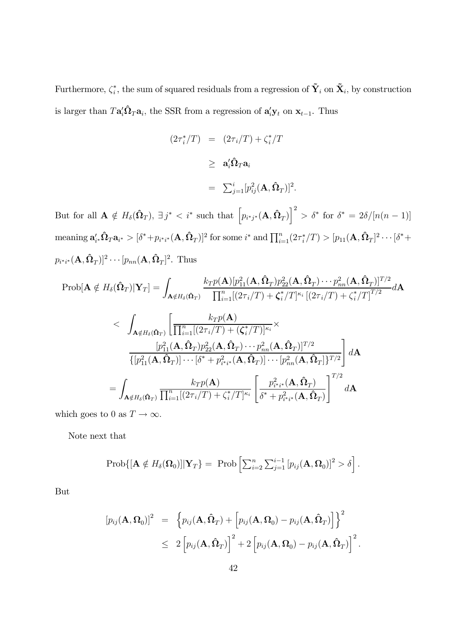Furthermore,  $\zeta_i^*$ , the sum of squared residuals from a regression of  $\tilde{\mathbf{Y}}_i$  on  $\tilde{\mathbf{X}}_i$ , by construction is larger than  $T\mathbf{a}'_i\hat{\mathbf{\Omega}}_T\mathbf{a}_i$ , the SSR from a regression of  $\mathbf{a}'_i\mathbf{y}_t$  on  $\mathbf{x}_{t-1}$ . Thus

$$
(2\tau_i^*/T) = (2\tau_i/T) + \zeta_i^*/T
$$
  
\n
$$
\geq \mathbf{a}_i^{\prime} \hat{\mathbf{\Omega}}_T \mathbf{a}_i
$$
  
\n
$$
= \sum_{j=1}^i [p_{ij}^2(\mathbf{A}, \hat{\mathbf{\Omega}}_T)]^2.
$$

But for all  $\mathbf{A} \notin H_{\delta}(\hat{\Omega}_T)$ ,  $\exists j^* < i^*$  such that  $\left[p_{i^*j^*}(\mathbf{A}, \hat{\Omega}_T)\right]^2 > \delta^*$  for  $\delta^* = 2\delta/[n(n-1)]$  $\text{meaning } \mathbf{a}'_{i^*} \mathbf{\hat{\Omega}}_T \mathbf{a}_{i^*} > [\delta^* + p_{i^*i^*}(\mathbf{A}, \mathbf{\hat{\Omega}}_T)]^2 \text{ for some } i^* \text{ and } \prod_{i=1}^n (2\tau_i^*/T) > [p_{11}(\mathbf{A}, \mathbf{\hat{\Omega}}_T]^2 \cdots [\delta^* + p_{n-1}(\mathbf{A}, \mathbf{\hat{\Omega}}_T)]^2]$  $p_{i^{*}i^{*}}(\mathbf{A}, \hat{\mathbf{\Omega}}_{T})$ <sup>2</sup> · · · [ $p_{nn}(\mathbf{A}, \hat{\mathbf{\Omega}}_{T})$ <sup>2</sup>. Thus

$$
\text{Prob}[\mathbf{A} \notin H_{\delta}(\hat{\mathbf{\Omega}}_{T})|\mathbf{Y}_{T}] = \int_{\mathbf{A} \notin H_{\delta}(\hat{\mathbf{\Omega}}_{T})} \frac{k_{T}p(\mathbf{A})[p_{11}^{2}(\mathbf{A}, \hat{\mathbf{\Omega}}_{T})p_{22}^{2}(\mathbf{A}, \hat{\mathbf{\Omega}}_{T}) \cdots p_{nn}^{2}(\mathbf{A}, \hat{\mathbf{\Omega}}_{T})]^{T/2}}{\prod_{i=1}^{n}[(2\tau_{i}/T) + \zeta_{i}^{*}/T]^{\kappa_{i}}[(2\tau_{i}/T) + \zeta_{i}^{*}/T]^{T/2}} d\mathbf{A}
$$
\n
$$
< \int_{\mathbf{A} \notin H_{\delta}(\hat{\mathbf{\Omega}}_{T})} \left[ \frac{k_{T}p(\mathbf{A})}{\prod_{i=1}^{n}[(2\tau_{i}/T) + (\zeta_{i}^{*}/T)]^{\kappa_{i}} \times} \frac{[p_{11}^{2}(\mathbf{A}, \hat{\mathbf{\Omega}}_{T})p_{22}^{2}(\mathbf{A}, \hat{\mathbf{\Omega}}_{T}) \cdots p_{nn}^{2}(\mathbf{A}, \hat{\mathbf{\Omega}}_{T})]^{T/2}}{\{[p_{11}^{2}(\mathbf{A}, \hat{\mathbf{\Omega}}_{T})] \cdots [\delta^{*} + p_{i^{*}i^{*}}^{2}(\mathbf{A}, \hat{\mathbf{\Omega}}_{T})] \cdots [p_{nn}^{2}(\mathbf{A}, \hat{\mathbf{\Omega}}_{T})]^{T/2}} \right] d\mathbf{A}
$$
\n
$$
= \int_{\mathbf{A} \notin H_{\delta}(\hat{\mathbf{\Omega}}_{T})} \frac{k_{T}p(\mathbf{A})}{\prod_{i=1}^{n}[(2\tau_{i}/T) + \zeta_{i}^{*}/T]^{\kappa_{i}}} \left[ \frac{p_{i^{*}i^{*}}^{2}(\mathbf{A}, \hat{\mathbf{\Omega}}_{T})}{\delta^{*} + p_{i^{*}i^{*}}^{2}(\mathbf{A}, \hat{\mathbf{\Omega}}_{T})} \right]^{T/2} d\mathbf{A}
$$

which goes to 0 as  $T \to \infty$ .

Note next that

$$
\mathrm{Prob}\{[\mathbf{A} \notin H_{\delta}(\Omega_0)]|\mathbf{Y}_T\} = \mathrm{Prob}\left[\sum_{i=2}^n \sum_{j=1}^{i-1} [p_{ij}(\mathbf{A}, \Omega_0)]^2 > \delta\right].
$$

But

$$
[p_{ij}(\mathbf{A}, \mathbf{\Omega}_0)]^2 = \left\{ p_{ij}(\mathbf{A}, \hat{\mathbf{\Omega}}_T) + \left[ p_{ij}(\mathbf{A}, \mathbf{\Omega}_0) - p_{ij}(\mathbf{A}, \hat{\mathbf{\Omega}}_T) \right] \right\}^2
$$
  
 
$$
\leq 2 \left[ p_{ij}(\mathbf{A}, \hat{\mathbf{\Omega}}_T) \right]^2 + 2 \left[ p_{ij}(\mathbf{A}, \mathbf{\Omega}_0) - p_{ij}(\mathbf{A}, \hat{\mathbf{\Omega}}_T) \right]^2.
$$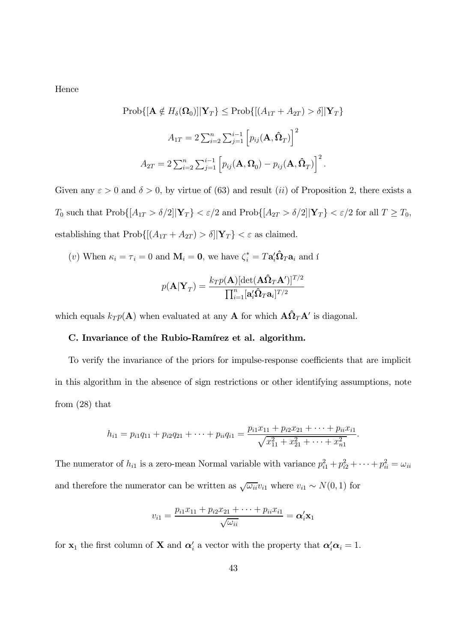Hence

$$
\text{Prob}\{[\mathbf{A} \notin H_{\delta}(\Omega_0)] | \mathbf{Y}_T\} \leq \text{Prob}\{[(A_{1T} + A_{2T}) > \delta] | \mathbf{Y}_T\}
$$
\n
$$
A_{1T} = 2 \sum_{i=2}^n \sum_{j=1}^{i-1} \left[ p_{ij}(\mathbf{A}, \hat{\mathbf{\Omega}}_T) \right]^2
$$
\n
$$
A_{2T} = 2 \sum_{i=2}^n \sum_{j=1}^{i-1} \left[ p_{ij}(\mathbf{A}, \Omega_0) - p_{ij}(\mathbf{A}, \hat{\mathbf{\Omega}}_T) \right]^2.
$$

Given any  $\varepsilon > 0$  and  $\delta > 0$ , by virtue of (63) and result (*ii*) of Proposition 2, there exists a  $T_0$  such that  $\text{Prob}\{[A_{1T} > \delta/2] | \mathbf{Y}_T\} < \varepsilon/2$  and  $\text{Prob}\{[A_{2T} > \delta/2] | \mathbf{Y}_T\} < \varepsilon/2$  for all  $T \ge T_0$ , establishing that  $\text{Prob}\{[(A_{1T}+A_{2T})>\delta]|\mathbf{Y}_T\}<\varepsilon$  as claimed.

(*v*) When  $\kappa_i = \tau_i = 0$  and  $\mathbf{M}_i = \mathbf{0}$ , we have  $\zeta_i^* = T \mathbf{a}_i' \hat{\mathbf{\Omega}}_T \mathbf{a}_i$  and i

$$
p(\mathbf{A}|\mathbf{Y}_T) = \frac{k_T p(\mathbf{A}) [\text{det}(\mathbf{A}\boldsymbol{\hat{\Omega}}_T\mathbf{A}')]^{T/2}}{\prod_{i=1}^n[\mathbf{a}_i'\boldsymbol{\hat{\Omega}}_T\mathbf{a}_i]^{T/2}}
$$

which equals  $k_T p(\mathbf{A})$  when evaluated at any **A** for which  $\mathbf{A}\hat{\Omega}_T \mathbf{A}'$  is diagonal.

#### C. Invariance of the Rubio-Ramírez et al. algorithm.

To verify the invariance of the priors for impulse-response coefficients that are implicit in this algorithm in the absence of sign restrictions or other identifying assumptions, note from (28) that

$$
h_{i1} = p_{i1}q_{11} + p_{i2}q_{21} + \dots + p_{ii}q_{i1} = \frac{p_{i1}x_{11} + p_{i2}x_{21} + \dots + p_{ii}x_{i1}}{\sqrt{x_{11}^2 + x_{21}^2 + \dots + x_{n1}^2}}
$$

.

The numerator of  $h_{i1}$  is a zero-mean Normal variable with variance  $p_{i1}^2 + p_{i2}^2 + \cdots + p_{ii}^2 = \omega_{ii}$ and therefore the numerator can be written as  $\sqrt{\omega_{ii}}v_{i1}$  where  $v_{i1} \sim N(0, 1)$  for

$$
v_{i1}=\frac{p_{i1}x_{11}+p_{i2}x_{21}+\cdots+p_{ii}x_{i1}}{\sqrt{\omega_{ii}}}=\boldsymbol{\alpha}_{i}'\mathbf{x}_{1}
$$

for  $\mathbf{x}_1$  the first column of **X** and  $\alpha'_i$  a vector with the property that  $\alpha'_i \alpha_i = 1$ .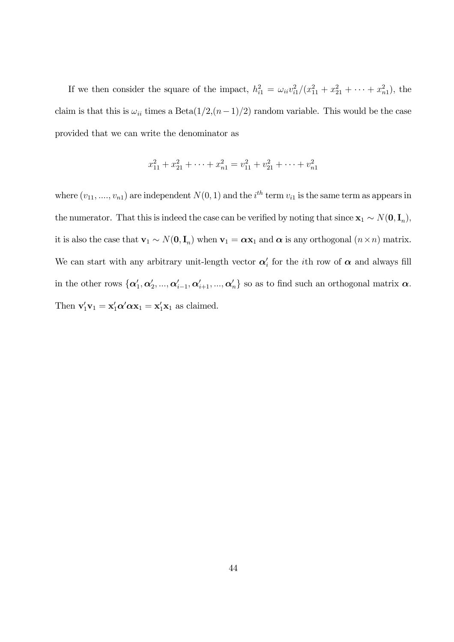If we then consider the square of the impact,  $h_{i1}^2 = \omega_{ii} v_{i1}^2 / (x_{11}^2 + x_{21}^2 + \cdots + x_{n1}^2)$ , the claim is that this is  $\omega_{ii}$  times a Beta $(1/2,(n-1)/2)$  random variable. This would be the case provided that we can write the denominator as

$$
x_{11}^2 + x_{21}^2 + \dots + x_{n1}^2 = v_{11}^2 + v_{21}^2 + \dots + v_{n1}^2
$$

where  $(v_{11},...,v_{n1})$  are independent  $N(0, 1)$  and the  $i^{th}$  term  $v_{i1}$  is the same term as appears in the numerator. That this is indeed the case can be verified by noting that since  $\mathbf{x}_1 \sim N(\mathbf{0}, \mathbf{I}_n)$ , it is also the case that  $\mathbf{v}_1 \sim N(\mathbf{0}, \mathbf{I}_n)$  when  $\mathbf{v}_1 = \boldsymbol{\alpha} \mathbf{x}_1$  and  $\boldsymbol{\alpha}$  is any orthogonal  $(n \times n)$  matrix. We can start with any arbitrary unit-length vector  $\alpha'_{i}$  for the *i*th row of  $\alpha$  and always fill in the other rows  $\{\alpha'_1, \alpha'_2, ..., \alpha'_{i-1}, \alpha'_{i+1}, ..., \alpha'_n\}$  so as to find such an orthogonal matrix  $\alpha$ . Then  $\mathbf{v}_1' \mathbf{v}_1 = \mathbf{x}_1' \alpha' \alpha \mathbf{x}_1 = \mathbf{x}_1' \mathbf{x}_1$  as claimed.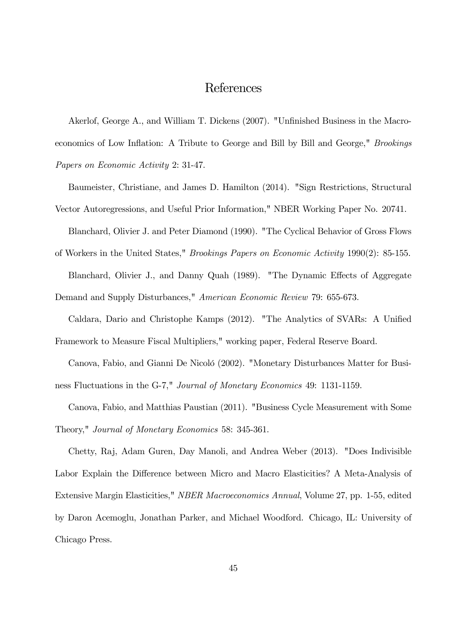### References

Akerlof, George A., and William T. Dickens (2007). "Unfinished Business in the Macroeconomics of Low Inflation: A Tribute to George and Bill by Bill and George," *Brookings Papers on Economic Activity* 2: 31-47.

Baumeister, Christiane, and James D. Hamilton (2014). "Sign Restrictions, Structural Vector Autoregressions, and Useful Prior Information," NBER Working Paper No. 20741.

Blanchard, Olivier J. and Peter Diamond (1990). "The Cyclical Behavior of Gross Flows

of Workers in the United States," *Brookings Papers on Economic Activity* 1990(2): 85-155. Blanchard, Olivier J., and Danny Quah (1989). "The Dynamic Effects of Aggregate

Demand and Supply Disturbances," *American Economic Review* 79: 655-673.

Caldara, Dario and Christophe Kamps (2012). "The Analytics of SVARs: A Unified Framework to Measure Fiscal Multipliers," working paper, Federal Reserve Board.

Canova, Fabio, and Gianni De Nicoló (2002). "Monetary Disturbances Matter for Business Fluctuations in the G-7," *Journal of Monetary Economics* 49: 1131-1159.

Canova, Fabio, and Matthias Paustian (2011). "Business Cycle Measurement with Some Theory," *Journal of Monetary Economics* 58: 345-361.

Chetty, Raj, Adam Guren, Day Manoli, and Andrea Weber (2013). "Does Indivisible Labor Explain the Difference between Micro and Macro Elasticities? A Meta-Analysis of Extensive Margin Elasticities," *NBER Macroeconomics Annual*, Volume 27, pp. 1-55, edited by Daron Acemoglu, Jonathan Parker, and Michael Woodford. Chicago, IL: University of Chicago Press.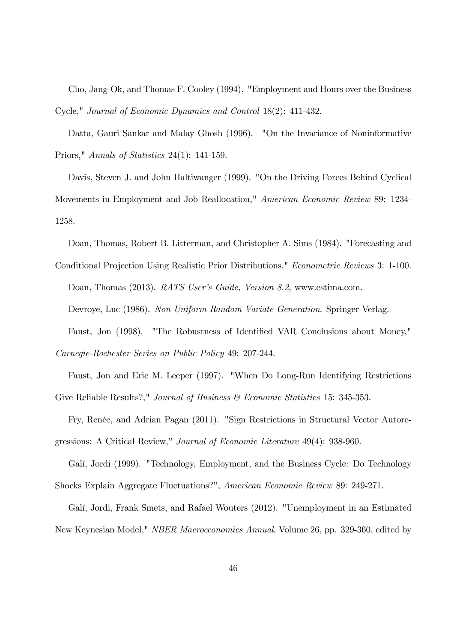Cho, Jang-Ok, and Thomas F. Cooley (1994). "Employment and Hours over the Business Cycle," *Journal of Economic Dynamics and Control* 18(2): 411-432.

Datta, Gauri Sankar and Malay Ghosh (1996). "On the Invariance of Noninformative Priors," *Annals of Statistics* 24(1): 141-159.

Davis, Steven J. and John Haltiwanger (1999). "On the Driving Forces Behind Cyclical Movements in Employment and Job Reallocation," *American Economic Review* 89: 1234- 1258.

Doan, Thomas, Robert B. Litterman, and Christopher A. Sims (1984). "Forecasting and Conditional Projection Using Realistic Prior Distributions," *Econometric Reviews* 3: 1-100.

Doan, Thomas (2013). *RATS User's Guide, Version 8.2,* www.estima.com.

Devroye, Luc (1986). *Non-Uniform Random Variate Generation*. Springer-Verlag.

Faust, Jon (1998). "The Robustness of Identified VAR Conclusions about Money,"

*Carnegie-Rochester Series on Public Policy* 49: 207-244.

Faust, Jon and Eric M. Leeper (1997). "When Do Long-Run Identifying Restrictions Give Reliable Results?," *Journal of Business & Economic Statistics* 15: 345-353.

Fry, Renée, and Adrian Pagan (2011). "Sign Restrictions in Structural Vector Autoregressions: A Critical Review," *Journal of Economic Literature* 49(4): 938-960.

Galí, Jordi (1999). "Technology, Employment, and the Business Cycle: Do Technology Shocks Explain Aggregate Fluctuations?", *American Economic Review* 89: 249-271.

Galí, Jordi, Frank Smets, and Rafael Wouters (2012). "Unemployment in an Estimated New Keynesian Model," *NBER Macroeconomics Annual*, Volume 26, pp. 329-360, edited by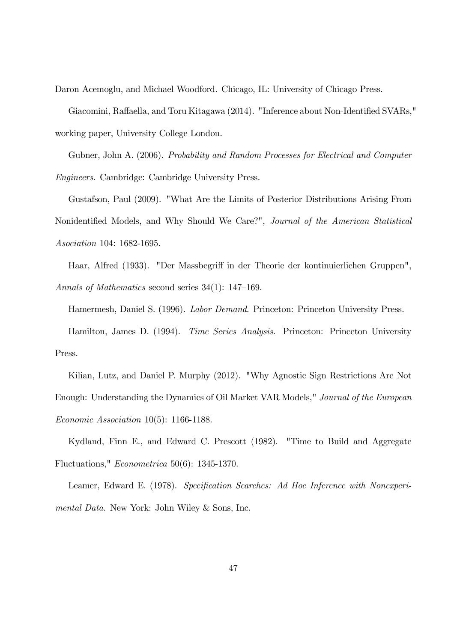Daron Acemoglu, and Michael Woodford. Chicago, IL: University of Chicago Press.

Giacomini, Raffaella, and Toru Kitagawa (2014). "Inference about Non-Identified SVARs," working paper, University College London.

Gubner, John A. (2006). *Probability and Random Processes for Electrical and Computer Engineers.* Cambridge: Cambridge University Press.

Gustafson, Paul (2009). "What Are the Limits of Posterior Distributions Arising From Nonidentified Models, and Why Should We Care?", *Journal of the American Statistical Asociation* 104: 1682-1695.

Haar, Alfred (1933). "Der Massbegriff in der Theorie der kontinuierlichen Gruppen", *Annals of Mathematics* second series 34(1): 147—169.

Hamermesh, Daniel S. (1996). *Labor Demand*. Princeton: Princeton University Press.

Hamilton, James D. (1994). *Time Series Analysis.* Princeton: Princeton University Press.

Kilian, Lutz, and Daniel P. Murphy (2012). "Why Agnostic Sign Restrictions Are Not Enough: Understanding the Dynamics of Oil Market VAR Models," *Journal of the European Economic Association* 10(5): 1166-1188.

Kydland, Finn E., and Edward C. Prescott (1982). "Time to Build and Aggregate Fluctuations," *Econometrica* 50(6): 1345-1370.

Leamer, Edward E. (1978). *Specification Searches: Ad Hoc Inference with Nonexperimental Data.* New York: John Wiley & Sons, Inc.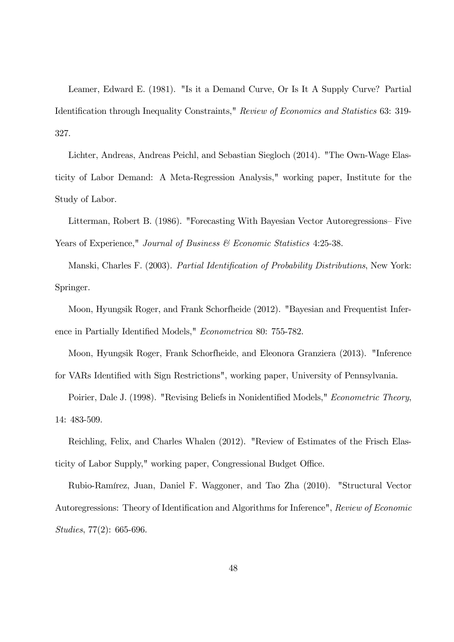Leamer, Edward E. (1981). "Is it a Demand Curve, Or Is It A Supply Curve? Partial Identification through Inequality Constraints," *Review of Economics and Statistics* 63: 319- 327.

Lichter, Andreas, Andreas Peichl, and Sebastian Siegloch (2014). "The Own-Wage Elasticity of Labor Demand: A Meta-Regression Analysis," working paper, Institute for the Study of Labor.

Litterman, Robert B. (1986). "Forecasting With Bayesian Vector Autoregressions— Five Years of Experience," *Journal of Business & Economic Statistics* 4:25-38.

Manski, Charles F. (2003). *Partial Identification of Probability Distributions*, New York: Springer.

Moon, Hyungsik Roger, and Frank Schorfheide (2012). "Bayesian and Frequentist Inference in Partially Identified Models," *Econometrica* 80: 755-782.

Moon, Hyungsik Roger, Frank Schorfheide, and Eleonora Granziera (2013). "Inference for VARs Identified with Sign Restrictions", working paper, University of Pennsylvania.

Poirier, Dale J. (1998). "Revising Beliefs in Nonidentified Models," *Econometric Theory*, 14: 483-509.

Reichling, Felix, and Charles Whalen (2012). "Review of Estimates of the Frisch Elasticity of Labor Supply," working paper, Congressional Budget Office.

Rubio-Ramírez, Juan, Daniel F. Waggoner, and Tao Zha (2010). "Structural Vector Autoregressions: Theory of Identification and Algorithms for Inference", *Review of Economic Studies*, 77(2): 665-696.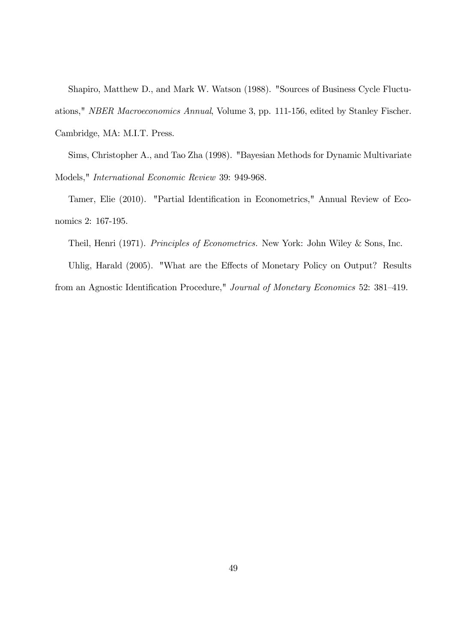Shapiro, Matthew D., and Mark W. Watson (1988). "Sources of Business Cycle Fluctuations," *NBER Macroeconomics Annual*, Volume 3, pp. 111-156, edited by Stanley Fischer. Cambridge, MA: M.I.T. Press.

Sims, Christopher A., and Tao Zha (1998). "Bayesian Methods for Dynamic Multivariate Models," *International Economic Review* 39: 949-968.

Tamer, Elie (2010). "Partial Identification in Econometrics," Annual Review of Economics 2: 167-195.

Theil, Henri (1971). *Principles of Econometrics.* New York: John Wiley & Sons, Inc.

Uhlig, Harald (2005). "What are the Effects of Monetary Policy on Output? Results from an Agnostic Identification Procedure," *Journal of Monetary Economics* 52: 381—419.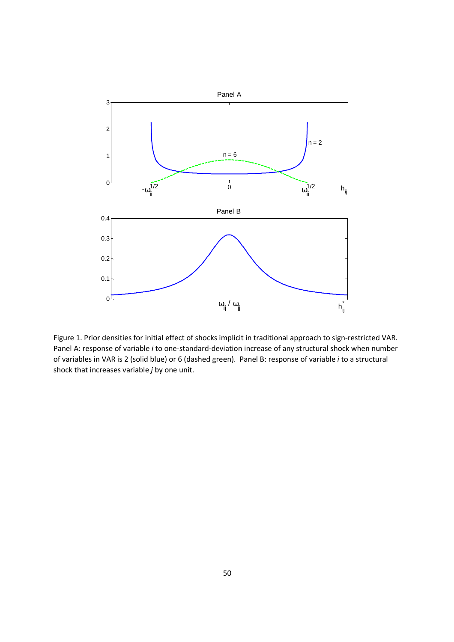

Figure 1. Prior densities for initial effect of shocks implicit in traditional approach to sign-restricted VAR. Panel A: response of variable *i* to one-standard-deviation increase of any structural shock when number of variables in VAR is 2 (solid blue) or 6 (dashed green). Panel B: response of variable *i* to a structural shock that increases variable *j* by one unit.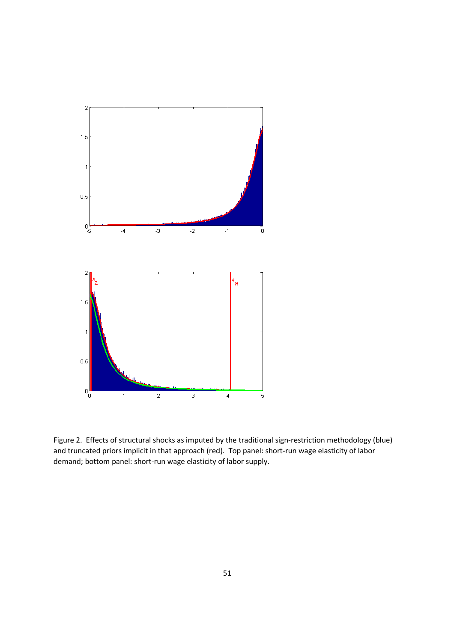

Figure 2. Effects of structural shocks as imputed by the traditional sign-restriction methodology (blue) and truncated priors implicit in that approach (red). Top panel: short-run wage elasticity of labor demand; bottom panel: short-run wage elasticity of labor supply.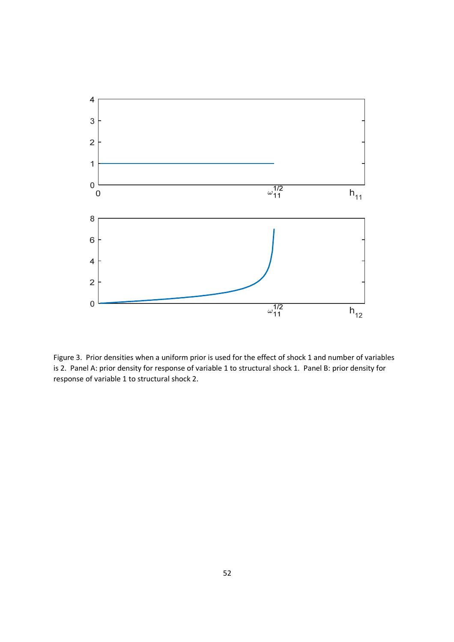

Figure 3. Prior densities when a uniform prior is used for the effect of shock 1 and number of variables is 2. Panel A: prior density for response of variable 1 to structural shock 1. Panel B: prior density for response of variable 1 to structural shock 2.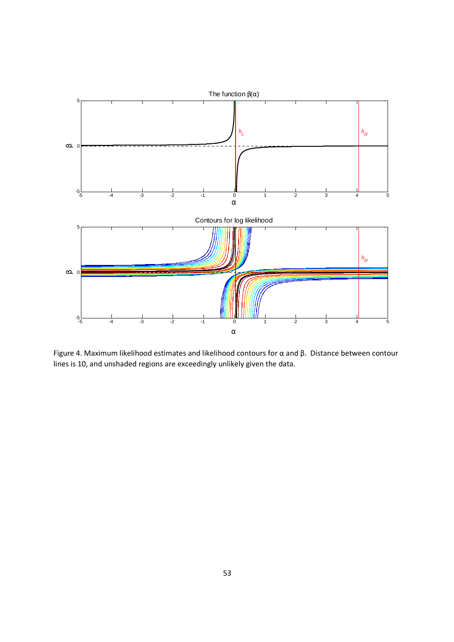

Figure 4. Maximum likelihood estimates and likelihood contours for α and β. Distance between contour lines is 10, and unshaded regions are exceedingly unlikely given the data.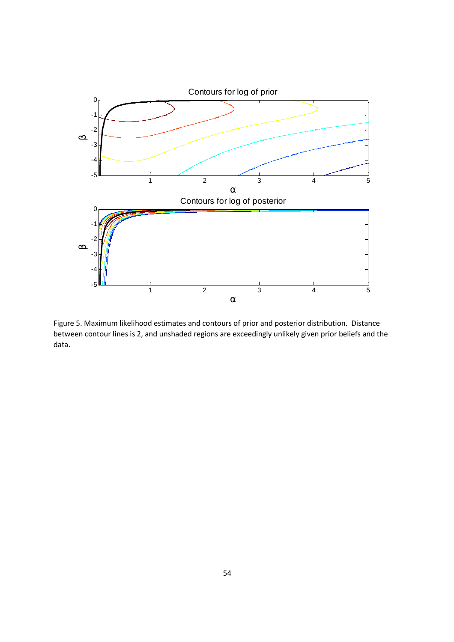

Figure 5. Maximum likelihood estimates and contours of prior and posterior distribution. Distance between contour lines is 2, and unshaded regions are exceedingly unlikely given prior beliefs and the data.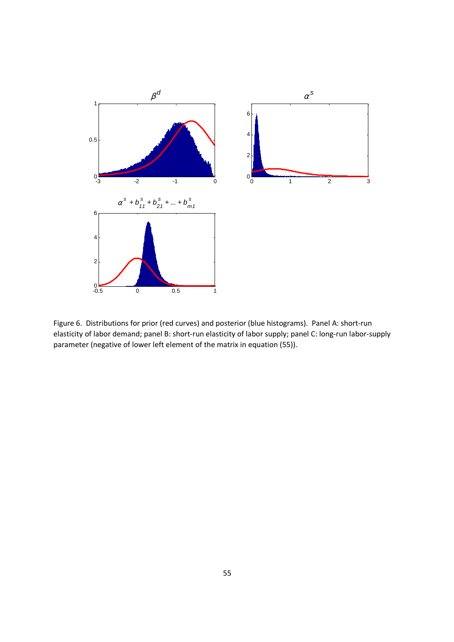

Figure 6. Distributions for prior (red curves) and posterior (blue histograms). Panel A: short-run elasticity of labor demand; panel B: short-run elasticity of labor supply; panel C: long-run labor-supply parameter (negative of lower left element of the matrix in equation (55)).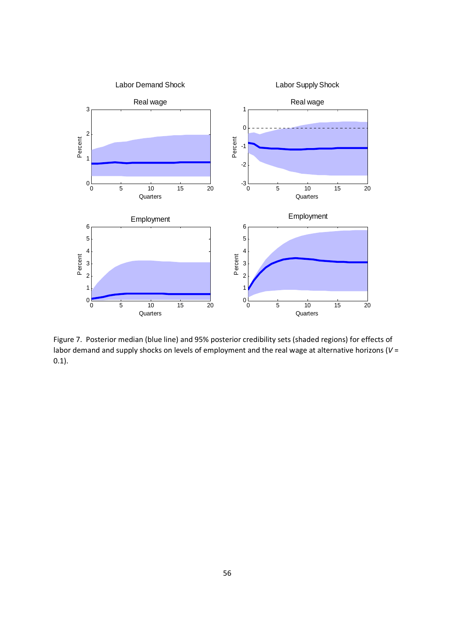

Figure 7. Posterior median (blue line) and 95% posterior credibility sets (shaded regions) for effects of labor demand and supply shocks on levels of employment and the real wage at alternative horizons (*V* = 0.1).